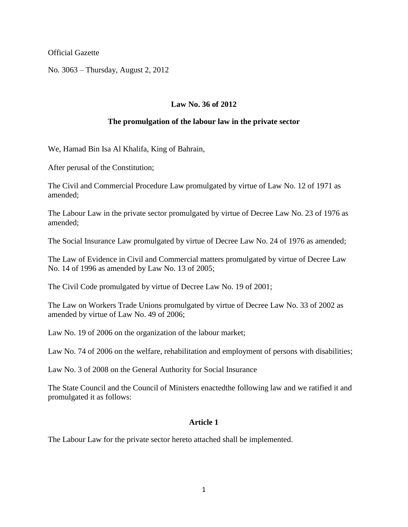Official Gazette

No. 3063 – Thursday, August 2, 2012

# **Law No. 36 of 2012**

### **The promulgation of the labour law in the private sector**

We, Hamad Bin Isa Al Khalifa, King of Bahrain,

After perusal of the Constitution;

The Civil and Commercial Procedure Law promulgated by virtue of Law No. 12 of 1971 as amended;

The Labour Law in the private sector promulgated by virtue of Decree Law No. 23 of 1976 as amended;

The Social Insurance Law promulgated by virtue of Decree Law No. 24 of 1976 as amended;

The Law of Evidence in Civil and Commercial matters promulgated by virtue of Decree Law No. 14 of 1996 as amended by Law No. 13 of 2005;

The Civil Code promulgated by virtue of Decree Law No. 19 of 2001;

The Law on Workers Trade Unions promulgated by virtue of Decree Law No. 33 of 2002 as amended by virtue of Law No. 49 of 2006;

Law No. 19 of 2006 on the organization of the labour market;

Law No. 74 of 2006 on the welfare, rehabilitation and employment of persons with disabilities;

Law No. 3 of 2008 on the General Authority for Social Insurance

The State Council and the Council of Ministers enactedthe following law and we ratified it and promulgated it as follows:

### **Article 1**

The Labour Law for the private sector hereto attached shall be implemented.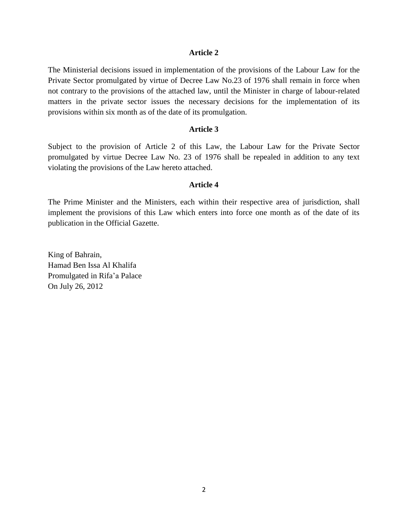The Ministerial decisions issued in implementation of the provisions of the Labour Law for the Private Sector promulgated by virtue of Decree Law No.23 of 1976 shall remain in force when not contrary to the provisions of the attached law, until the Minister in charge of labour-related matters in the private sector issues the necessary decisions for the implementation of its provisions within six month as of the date of its promulgation.

### **Article 3**

Subject to the provision of Article 2 of this Law, the Labour Law for the Private Sector promulgated by virtue Decree Law No. 23 of 1976 shall be repealed in addition to any text violating the provisions of the Law hereto attached.

#### **Article 4**

The Prime Minister and the Ministers, each within their respective area of jurisdiction, shall implement the provisions of this Law which enters into force one month as of the date of its publication in the Official Gazette.

King of Bahrain, Hamad Ben Issa Al Khalifa Promulgated in Rifa'a Palace On July 26, 2012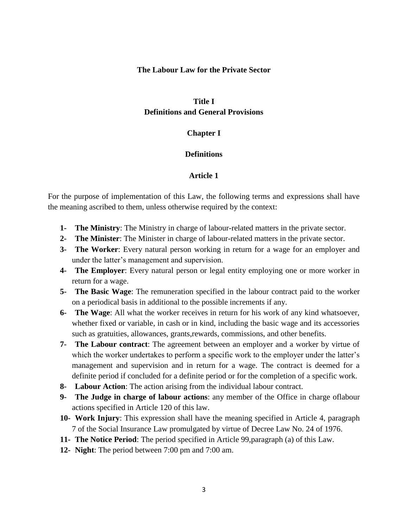### **The Labour Law for the Private Sector**

# **Title I Definitions and General Provisions**

### **Chapter I**

### **Definitions**

### **Article 1**

For the purpose of implementation of this Law, the following terms and expressions shall have the meaning ascribed to them, unless otherwise required by the context:

- **1- The Ministry**: The Ministry in charge of labour-related matters in the private sector.
- **2- The Minister**: The Minister in charge of labour-related matters in the private sector.
- **3- The Worker**: Every natural person working in return for a wage for an employer and under the latter's management and supervision.
- **4- The Employer**: Every natural person or legal entity employing one or more worker in return for a wage.
- **5- The Basic Wage**: The remuneration specified in the labour contract paid to the worker on a periodical basis in additional to the possible increments if any.
- **6- The Wage**: All what the worker receives in return for his work of any kind whatsoever, whether fixed or variable, in cash or in kind, including the basic wage and its accessories such as gratuities, allowances, grants,rewards, commissions, and other benefits.
- **7- The Labour contract**: The agreement between an employer and a worker by virtue of which the worker undertakes to perform a specific work to the employer under the latter's management and supervision and in return for a wage. The contract is deemed for a definite period if concluded for a definite period or for the completion of a specific work.
- **8- Labour Action**: The action arising from the individual labour contract.
- **9- The Judge in charge of labour actions**: any member of the Office in charge oflabour actions specified in Article 120 of this law.
- **10- Work Injury**: This expression shall have the meaning specified in Article 4, paragraph 7 of the Social Insurance Law promulgated by virtue of Decree Law No. 24 of 1976.
- **11- The Notice Period**: The period specified in Article 99,paragraph (a) of this Law.
- **12- Night**: The period between 7:00 pm and 7:00 am.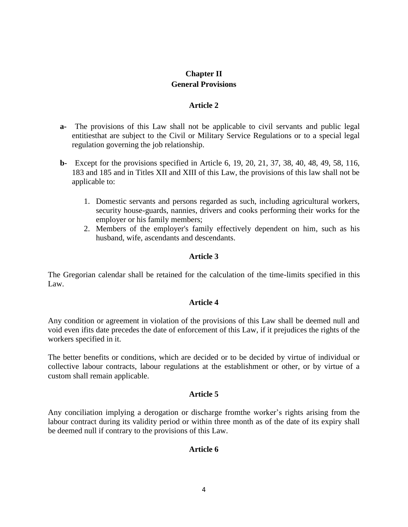# **Chapter II General Provisions**

# **Article 2**

- **a-** The provisions of this Law shall not be applicable to civil servants and public legal entitiesthat are subject to the Civil or Military Service Regulations or to a special legal regulation governing the job relationship.
- **b-** Except for the provisions specified in Article 6, 19, 20, 21, 37, 38, 40, 48, 49, 58, 116, 183 and 185 and in Titles XII and XIII of this Law, the provisions of this law shall not be applicable to:
	- 1. Domestic servants and persons regarded as such, including agricultural workers, security house-guards, nannies, drivers and cooks performing their works for the employer or his family members;
	- 2. Members of the employer's family effectively dependent on him, such as his husband, wife, ascendants and descendants.

# **Article 3**

The Gregorian calendar shall be retained for the calculation of the time-limits specified in this Law.

### **Article 4**

Any condition or agreement in violation of the provisions of this Law shall be deemed null and void even ifits date precedes the date of enforcement of this Law, if it prejudices the rights of the workers specified in it.

The better benefits or conditions, which are decided or to be decided by virtue of individual or collective labour contracts, labour regulations at the establishment or other, or by virtue of a custom shall remain applicable.

### **Article 5**

Any conciliation implying a derogation or discharge fromthe worker's rights arising from the labour contract during its validity period or within three month as of the date of its expiry shall be deemed null if contrary to the provisions of this Law.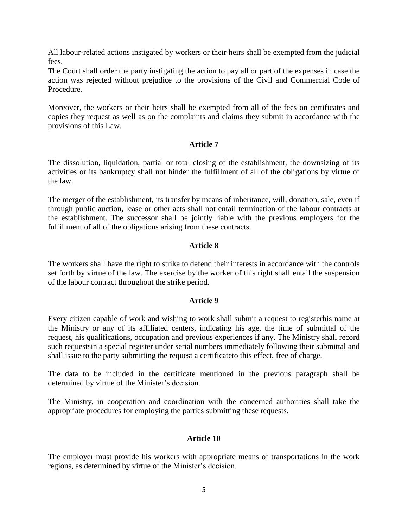All labour-related actions instigated by workers or their heirs shall be exempted from the judicial fees.

The Court shall order the party instigating the action to pay all or part of the expenses in case the action was rejected without prejudice to the provisions of the Civil and Commercial Code of Procedure.

Moreover, the workers or their heirs shall be exempted from all of the fees on certificates and copies they request as well as on the complaints and claims they submit in accordance with the provisions of this Law.

# **Article 7**

The dissolution, liquidation, partial or total closing of the establishment, the downsizing of its activities or its bankruptcy shall not hinder the fulfillment of all of the obligations by virtue of the law.

The merger of the establishment, its transfer by means of inheritance, will, donation, sale, even if through public auction, lease or other acts shall not entail termination of the labour contracts at the establishment. The successor shall be jointly liable with the previous employers for the fulfillment of all of the obligations arising from these contracts.

# **Article 8**

The workers shall have the right to strike to defend their interests in accordance with the controls set forth by virtue of the law. The exercise by the worker of this right shall entail the suspension of the labour contract throughout the strike period.

### **Article 9**

Every citizen capable of work and wishing to work shall submit a request to registerhis name at the Ministry or any of its affiliated centers, indicating his age, the time of submittal of the request, his qualifications, occupation and previous experiences if any. The Ministry shall record such requestsin a special register under serial numbers immediately following their submittal and shall issue to the party submitting the request a certificateto this effect, free of charge.

The data to be included in the certificate mentioned in the previous paragraph shall be determined by virtue of the Minister's decision.

The Ministry, in cooperation and coordination with the concerned authorities shall take the appropriate procedures for employing the parties submitting these requests.

### **Article 10**

The employer must provide his workers with appropriate means of transportations in the work regions, as determined by virtue of the Minister's decision.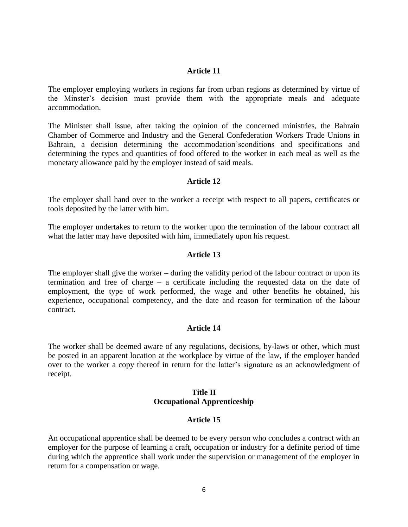The employer employing workers in regions far from urban regions as determined by virtue of the Minster's decision must provide them with the appropriate meals and adequate accommodation.

The Minister shall issue, after taking the opinion of the concerned ministries, the Bahrain Chamber of Commerce and Industry and the General Confederation Workers Trade Unions in Bahrain, a decision determining the accommodation'sconditions and specifications and determining the types and quantities of food offered to the worker in each meal as well as the monetary allowance paid by the employer instead of said meals.

### **Article 12**

The employer shall hand over to the worker a receipt with respect to all papers, certificates or tools deposited by the latter with him.

The employer undertakes to return to the worker upon the termination of the labour contract all what the latter may have deposited with him, immediately upon his request.

### **Article 13**

The employer shall give the worker – during the validity period of the labour contract or upon its termination and free of charge – a certificate including the requested data on the date of employment, the type of work performed, the wage and other benefits he obtained, his experience, occupational competency, and the date and reason for termination of the labour contract.

### **Article 14**

The worker shall be deemed aware of any regulations, decisions, by-laws or other, which must be posted in an apparent location at the workplace by virtue of the law, if the employer handed over to the worker a copy thereof in return for the latter's signature as an acknowledgment of receipt.

### **Title II Occupational Apprenticeship**

### **Article 15**

An occupational apprentice shall be deemed to be every person who concludes a contract with an employer for the purpose of learning a craft, occupation or industry for a definite period of time during which the apprentice shall work under the supervision or management of the employer in return for a compensation or wage.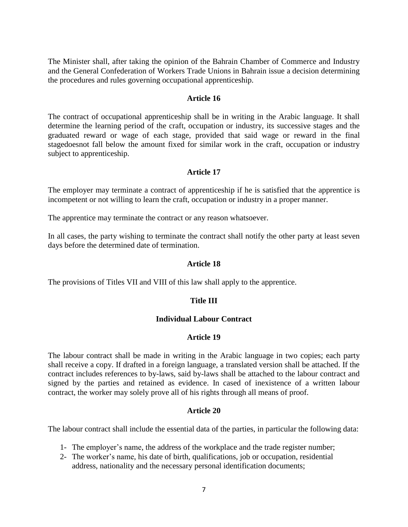The Minister shall, after taking the opinion of the Bahrain Chamber of Commerce and Industry and the General Confederation of Workers Trade Unions in Bahrain issue a decision determining the procedures and rules governing occupational apprenticeship.

### **Article 16**

The contract of occupational apprenticeship shall be in writing in the Arabic language. It shall determine the learning period of the craft, occupation or industry, its successive stages and the graduated reward or wage of each stage, provided that said wage or reward in the final stagedoesnot fall below the amount fixed for similar work in the craft, occupation or industry subject to apprenticeship.

### **Article 17**

The employer may terminate a contract of apprenticeship if he is satisfied that the apprentice is incompetent or not willing to learn the craft, occupation or industry in a proper manner.

The apprentice may terminate the contract or any reason whatsoever.

In all cases, the party wishing to terminate the contract shall notify the other party at least seven days before the determined date of termination.

### **Article 18**

The provisions of Titles VII and VIII of this law shall apply to the apprentice.

### **Title III**

## **Individual Labour Contract**

### **Article 19**

The labour contract shall be made in writing in the Arabic language in two copies; each party shall receive a copy. If drafted in a foreign language, a translated version shall be attached. If the contract includes references to by-laws, said by-laws shall be attached to the labour contract and signed by the parties and retained as evidence. In cased of inexistence of a written labour contract, the worker may solely prove all of his rights through all means of proof.

### **Article 20**

The labour contract shall include the essential data of the parties, in particular the following data:

- 1- The employer's name, the address of the workplace and the trade register number;
- 2- The worker's name, his date of birth, qualifications, job or occupation, residential address, nationality and the necessary personal identification documents;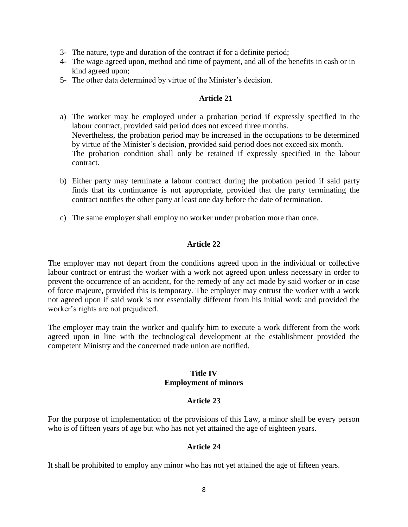- 3- The nature, type and duration of the contract if for a definite period;
- 4- The wage agreed upon, method and time of payment, and all of the benefits in cash or in kind agreed upon;
- 5- The other data determined by virtue of the Minister's decision.

- a) The worker may be employed under a probation period if expressly specified in the labour contract, provided said period does not exceed three months. Nevertheless, the probation period may be increased in the occupations to be determined by virtue of the Minister's decision, provided said period does not exceed six month. The probation condition shall only be retained if expressly specified in the labour contract.
- b) Either party may terminate a labour contract during the probation period if said party finds that its continuance is not appropriate, provided that the party terminating the contract notifies the other party at least one day before the date of termination.
- c) The same employer shall employ no worker under probation more than once.

### **Article 22**

The employer may not depart from the conditions agreed upon in the individual or collective labour contract or entrust the worker with a work not agreed upon unless necessary in order to prevent the occurrence of an accident, for the remedy of any act made by said worker or in case of force majeure, provided this is temporary. The employer may entrust the worker with a work not agreed upon if said work is not essentially different from his initial work and provided the worker's rights are not prejudiced.

The employer may train the worker and qualify him to execute a work different from the work agreed upon in line with the technological development at the establishment provided the competent Ministry and the concerned trade union are notified.

### **Title IV Employment of minors**

### **Article 23**

For the purpose of implementation of the provisions of this Law, a minor shall be every person who is of fifteen years of age but who has not yet attained the age of eighteen years.

### **Article 24**

It shall be prohibited to employ any minor who has not yet attained the age of fifteen years.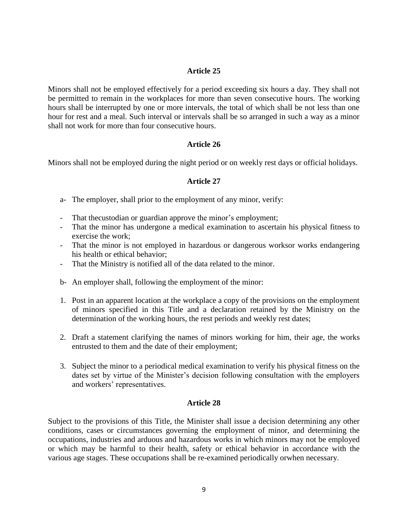Minors shall not be employed effectively for a period exceeding six hours a day. They shall not be permitted to remain in the workplaces for more than seven consecutive hours. The working hours shall be interrupted by one or more intervals, the total of which shall be not less than one hour for rest and a meal. Such interval or intervals shall be so arranged in such a way as a minor shall not work for more than four consecutive hours.

### **Article 26**

Minors shall not be employed during the night period or on weekly rest days or official holidays.

### **Article 27**

- a- The employer, shall prior to the employment of any minor, verify:
- That thecustodian or guardian approve the minor's employment;
- That the minor has undergone a medical examination to ascertain his physical fitness to exercise the work;
- That the minor is not employed in hazardous or dangerous worksor works endangering his health or ethical behavior;
- That the Ministry is notified all of the data related to the minor.
- b- An employer shall, following the employment of the minor:
- 1. Post in an apparent location at the workplace a copy of the provisions on the employment of minors specified in this Title and a declaration retained by the Ministry on the determination of the working hours, the rest periods and weekly rest dates;
- 2. Draft a statement clarifying the names of minors working for him, their age, the works entrusted to them and the date of their employment;
- 3. Subject the minor to a periodical medical examination to verify his physical fitness on the dates set by virtue of the Minister's decision following consultation with the employers and workers' representatives.

### **Article 28**

Subject to the provisions of this Title, the Minister shall issue a decision determining any other conditions, cases or circumstances governing the employment of minor, and determining the occupations, industries and arduous and hazardous works in which minors may not be employed or which may be harmful to their health, safety or ethical behavior in accordance with the various age stages. These occupations shall be re-examined periodically orwhen necessary.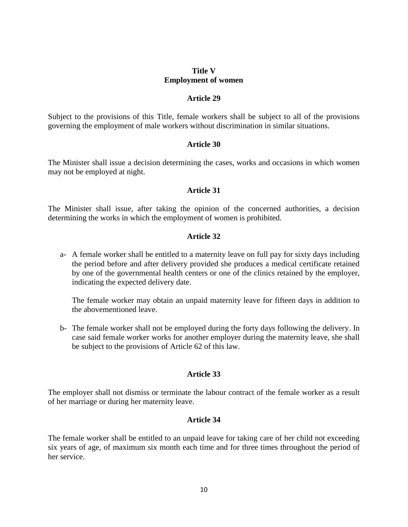## **Title V Employment of women**

### **Article 29**

Subject to the provisions of this Title, female workers shall be subject to all of the provisions governing the employment of male workers without discrimination in similar situations.

### **Article 30**

The Minister shall issue a decision determining the cases, works and occasions in which women may not be employed at night.

### **Article 31**

The Minister shall issue, after taking the opinion of the concerned authorities, a decision determining the works in which the employment of women is prohibited.

### **Article 32**

a- A female worker shall be entitled to a maternity leave on full pay for sixty days including the period before and after delivery provided she produces a medical certificate retained by one of the governmental health centers or one of the clinics retained by the employer, indicating the expected delivery date.

The female worker may obtain an unpaid maternity leave for fifteen days in addition to the abovementioned leave.

b- The female worker shall not be employed during the forty days following the delivery. In case said female worker works for another employer during the maternity leave, she shall be subject to the provisions of Article 62 of this law.

### **Article 33**

The employer shall not dismiss or terminate the labour contract of the female worker as a result of her marriage or during her maternity leave.

### **Article 34**

The female worker shall be entitled to an unpaid leave for taking care of her child not exceeding six years of age, of maximum six month each time and for three times throughout the period of her service.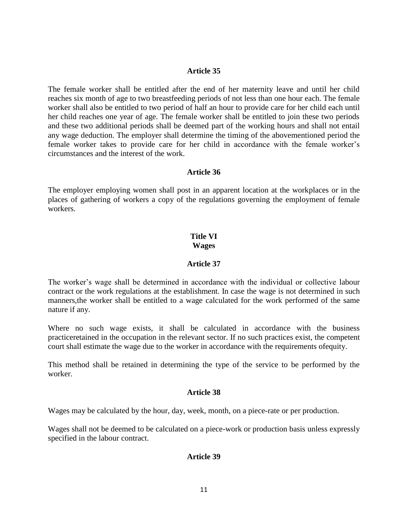The female worker shall be entitled after the end of her maternity leave and until her child reaches six month of age to two breastfeeding periods of not less than one hour each. The female worker shall also be entitled to two period of half an hour to provide care for her child each until her child reaches one year of age. The female worker shall be entitled to join these two periods and these two additional periods shall be deemed part of the working hours and shall not entail any wage deduction. The employer shall determine the timing of the abovementioned period the female worker takes to provide care for her child in accordance with the female worker's circumstances and the interest of the work.

### **Article 36**

The employer employing women shall post in an apparent location at the workplaces or in the places of gathering of workers a copy of the regulations governing the employment of female workers.

# **Title VI**

### **Wages**

### **Article 37**

The worker's wage shall be determined in accordance with the individual or collective labour contract or the work regulations at the establishment. In case the wage is not determined in such manners,the worker shall be entitled to a wage calculated for the work performed of the same nature if any.

Where no such wage exists, it shall be calculated in accordance with the business practiceretained in the occupation in the relevant sector. If no such practices exist, the competent court shall estimate the wage due to the worker in accordance with the requirements ofequity.

This method shall be retained in determining the type of the service to be performed by the worker.

### **Article 38**

Wages may be calculated by the hour, day, week, month, on a piece-rate or per production.

Wages shall not be deemed to be calculated on a piece-work or production basis unless expressly specified in the labour contract.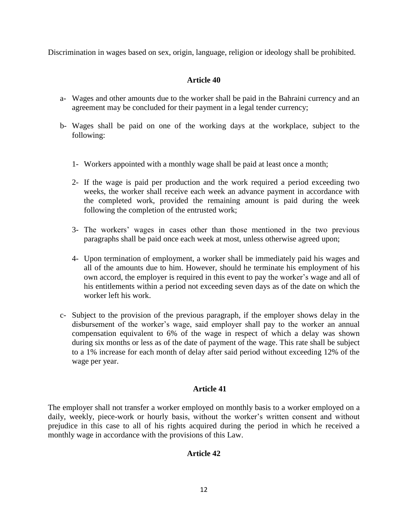Discrimination in wages based on sex, origin, language, religion or ideology shall be prohibited.

# **Article 40**

- a- Wages and other amounts due to the worker shall be paid in the Bahraini currency and an agreement may be concluded for their payment in a legal tender currency;
- b- Wages shall be paid on one of the working days at the workplace, subject to the following:
	- 1- Workers appointed with a monthly wage shall be paid at least once a month;
	- 2- If the wage is paid per production and the work required a period exceeding two weeks, the worker shall receive each week an advance payment in accordance with the completed work, provided the remaining amount is paid during the week following the completion of the entrusted work;
	- 3- The workers' wages in cases other than those mentioned in the two previous paragraphs shall be paid once each week at most, unless otherwise agreed upon;
	- 4- Upon termination of employment, a worker shall be immediately paid his wages and all of the amounts due to him. However, should he terminate his employment of his own accord, the employer is required in this event to pay the worker's wage and all of his entitlements within a period not exceeding seven days as of the date on which the worker left his work.
- c- Subject to the provision of the previous paragraph, if the employer shows delay in the disbursement of the worker's wage, said employer shall pay to the worker an annual compensation equivalent to 6% of the wage in respect of which a delay was shown during six months or less as of the date of payment of the wage. This rate shall be subject to a 1% increase for each month of delay after said period without exceeding 12% of the wage per year.

# **Article 41**

The employer shall not transfer a worker employed on monthly basis to a worker employed on a daily, weekly, piece-work or hourly basis, without the worker's written consent and without prejudice in this case to all of his rights acquired during the period in which he received a monthly wage in accordance with the provisions of this Law.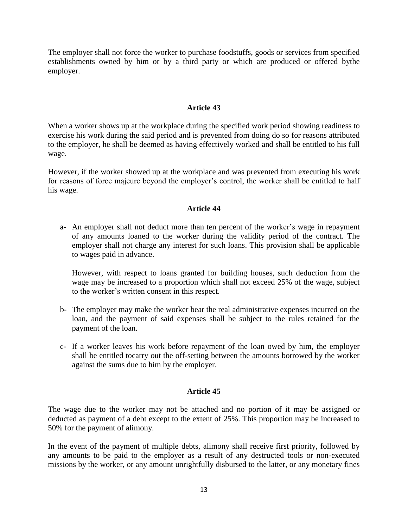The employer shall not force the worker to purchase foodstuffs, goods or services from specified establishments owned by him or by a third party or which are produced or offered bythe employer.

## **Article 43**

When a worker shows up at the workplace during the specified work period showing readiness to exercise his work during the said period and is prevented from doing do so for reasons attributed to the employer, he shall be deemed as having effectively worked and shall be entitled to his full wage.

However, if the worker showed up at the workplace and was prevented from executing his work for reasons of force majeure beyond the employer's control, the worker shall be entitled to half his wage.

### **Article 44**

a- An employer shall not deduct more than ten percent of the worker's wage in repayment of any amounts loaned to the worker during the validity period of the contract. The employer shall not charge any interest for such loans. This provision shall be applicable to wages paid in advance.

However, with respect to loans granted for building houses, such deduction from the wage may be increased to a proportion which shall not exceed 25% of the wage, subject to the worker's written consent in this respect.

- b- The employer may make the worker bear the real administrative expenses incurred on the loan, and the payment of said expenses shall be subject to the rules retained for the payment of the loan.
- c- If a worker leaves his work before repayment of the loan owed by him, the employer shall be entitled tocarry out the off-setting between the amounts borrowed by the worker against the sums due to him by the employer.

### **Article 45**

The wage due to the worker may not be attached and no portion of it may be assigned or deducted as payment of a debt except to the extent of 25%. This proportion may be increased to 50% for the payment of alimony.

In the event of the payment of multiple debts, alimony shall receive first priority, followed by any amounts to be paid to the employer as a result of any destructed tools or non-executed missions by the worker, or any amount unrightfully disbursed to the latter, or any monetary fines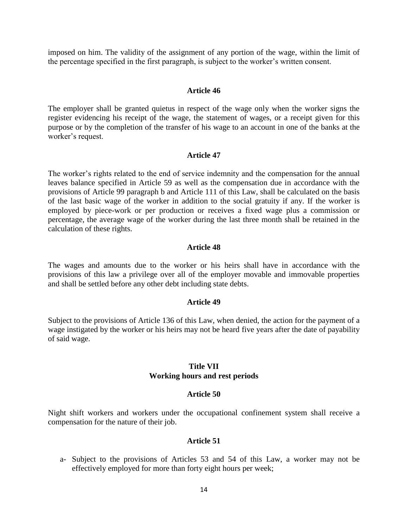imposed on him. The validity of the assignment of any portion of the wage, within the limit of the percentage specified in the first paragraph, is subject to the worker's written consent.

#### **Article 46**

The employer shall be granted quietus in respect of the wage only when the worker signs the register evidencing his receipt of the wage, the statement of wages, or a receipt given for this purpose or by the completion of the transfer of his wage to an account in one of the banks at the worker's request.

#### **Article 47**

The worker's rights related to the end of service indemnity and the compensation for the annual leaves balance specified in Article 59 as well as the compensation due in accordance with the provisions of Article 99 paragraph b and Article 111 of this Law, shall be calculated on the basis of the last basic wage of the worker in addition to the social gratuity if any. If the worker is employed by piece-work or per production or receives a fixed wage plus a commission or percentage, the average wage of the worker during the last three month shall be retained in the calculation of these rights.

#### **Article 48**

The wages and amounts due to the worker or his heirs shall have in accordance with the provisions of this law a privilege over all of the employer movable and immovable properties and shall be settled before any other debt including state debts.

#### **Article 49**

Subject to the provisions of Article 136 of this Law, when denied, the action for the payment of a wage instigated by the worker or his heirs may not be heard five years after the date of payability of said wage.

### **Title VII Working hours and rest periods**

#### **Article 50**

Night shift workers and workers under the occupational confinement system shall receive a compensation for the nature of their job.

#### **Article 51**

a- Subject to the provisions of Articles 53 and 54 of this Law, a worker may not be effectively employed for more than forty eight hours per week;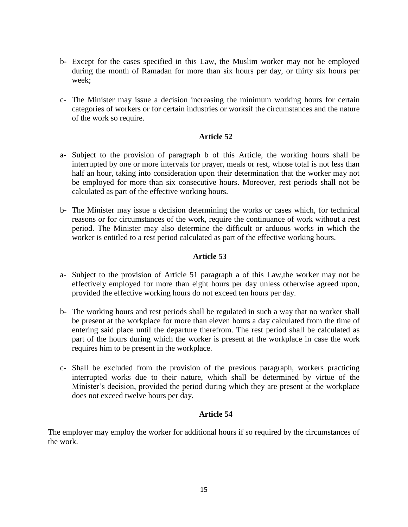- b- Except for the cases specified in this Law, the Muslim worker may not be employed during the month of Ramadan for more than six hours per day, or thirty six hours per week;
- c- The Minister may issue a decision increasing the minimum working hours for certain categories of workers or for certain industries or worksif the circumstances and the nature of the work so require.

- a- Subject to the provision of paragraph b of this Article, the working hours shall be interrupted by one or more intervals for prayer, meals or rest, whose total is not less than half an hour, taking into consideration upon their determination that the worker may not be employed for more than six consecutive hours. Moreover, rest periods shall not be calculated as part of the effective working hours.
- b- The Minister may issue a decision determining the works or cases which, for technical reasons or for circumstances of the work, require the continuance of work without a rest period. The Minister may also determine the difficult or arduous works in which the worker is entitled to a rest period calculated as part of the effective working hours.

# **Article 53**

- a- Subject to the provision of Article 51 paragraph a of this Law,the worker may not be effectively employed for more than eight hours per day unless otherwise agreed upon, provided the effective working hours do not exceed ten hours per day.
- b- The working hours and rest periods shall be regulated in such a way that no worker shall be present at the workplace for more than eleven hours a day calculated from the time of entering said place until the departure therefrom. The rest period shall be calculated as part of the hours during which the worker is present at the workplace in case the work requires him to be present in the workplace.
- c- Shall be excluded from the provision of the previous paragraph, workers practicing interrupted works due to their nature, which shall be determined by virtue of the Minister's decision, provided the period during which they are present at the workplace does not exceed twelve hours per day.

# **Article 54**

The employer may employ the worker for additional hours if so required by the circumstances of the work.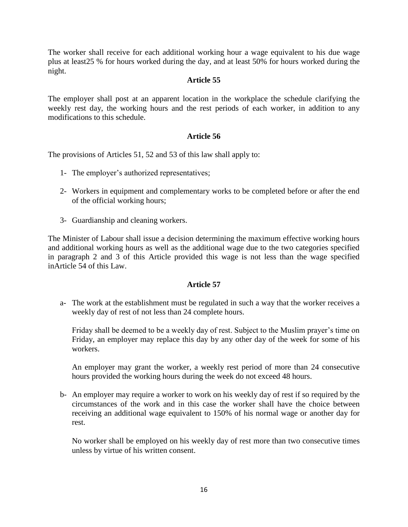The worker shall receive for each additional working hour a wage equivalent to his due wage plus at least25 % for hours worked during the day, and at least 50% for hours worked during the night.

# **Article 55**

The employer shall post at an apparent location in the workplace the schedule clarifying the weekly rest day, the working hours and the rest periods of each worker, in addition to any modifications to this schedule.

# **Article 56**

The provisions of Articles 51, 52 and 53 of this law shall apply to:

- 1- The employer's authorized representatives;
- 2- Workers in equipment and complementary works to be completed before or after the end of the official working hours;
- 3- Guardianship and cleaning workers.

The Minister of Labour shall issue a decision determining the maximum effective working hours and additional working hours as well as the additional wage due to the two categories specified in paragraph 2 and 3 of this Article provided this wage is not less than the wage specified inArticle 54 of this Law.

### **Article 57**

a- The work at the establishment must be regulated in such a way that the worker receives a weekly day of rest of not less than 24 complete hours.

Friday shall be deemed to be a weekly day of rest. Subject to the Muslim prayer's time on Friday, an employer may replace this day by any other day of the week for some of his workers.

An employer may grant the worker, a weekly rest period of more than 24 consecutive hours provided the working hours during the week do not exceed 48 hours.

b- An employer may require a worker to work on his weekly day of rest if so required by the circumstances of the work and in this case the worker shall have the choice between receiving an additional wage equivalent to 150% of his normal wage or another day for rest.

No worker shall be employed on his weekly day of rest more than two consecutive times unless by virtue of his written consent.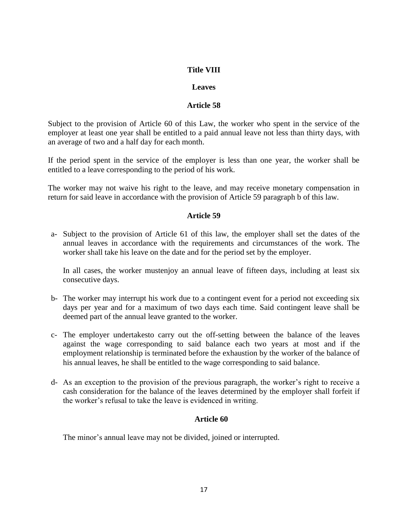# **Title VIII**

### **Leaves**

## **Article 58**

Subject to the provision of Article 60 of this Law, the worker who spent in the service of the employer at least one year shall be entitled to a paid annual leave not less than thirty days, with an average of two and a half day for each month.

If the period spent in the service of the employer is less than one year, the worker shall be entitled to a leave corresponding to the period of his work.

The worker may not waive his right to the leave, and may receive monetary compensation in return for said leave in accordance with the provision of Article 59 paragraph b of this law.

### **Article 59**

a- Subject to the provision of Article 61 of this law, the employer shall set the dates of the annual leaves in accordance with the requirements and circumstances of the work. The worker shall take his leave on the date and for the period set by the employer.

In all cases, the worker mustenjoy an annual leave of fifteen days, including at least six consecutive days.

- b- The worker may interrupt his work due to a contingent event for a period not exceeding six days per year and for a maximum of two days each time. Said contingent leave shall be deemed part of the annual leave granted to the worker.
- c- The employer undertakesto carry out the off-setting between the balance of the leaves against the wage corresponding to said balance each two years at most and if the employment relationship is terminated before the exhaustion by the worker of the balance of his annual leaves, he shall be entitled to the wage corresponding to said balance.
- d- As an exception to the provision of the previous paragraph, the worker's right to receive a cash consideration for the balance of the leaves determined by the employer shall forfeit if the worker's refusal to take the leave is evidenced in writing.

### **Article 60**

The minor's annual leave may not be divided, joined or interrupted.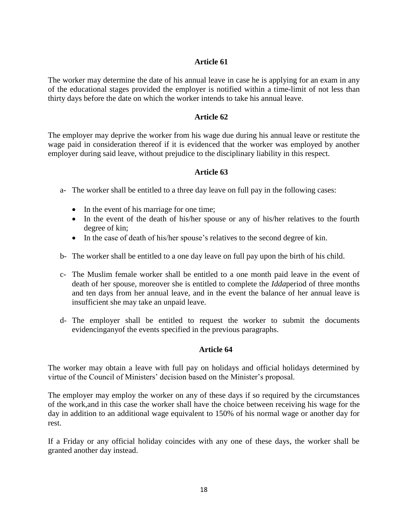The worker may determine the date of his annual leave in case he is applying for an exam in any of the educational stages provided the employer is notified within a time-limit of not less than thirty days before the date on which the worker intends to take his annual leave.

# **Article 62**

The employer may deprive the worker from his wage due during his annual leave or restitute the wage paid in consideration thereof if it is evidenced that the worker was employed by another employer during said leave, without prejudice to the disciplinary liability in this respect.

# **Article 63**

- a- The worker shall be entitled to a three day leave on full pay in the following cases:
	- In the event of his marriage for one time;
	- In the event of the death of his/her spouse or any of his/her relatives to the fourth degree of kin;
	- In the case of death of his/her spouse's relatives to the second degree of kin.
- b- The worker shall be entitled to a one day leave on full pay upon the birth of his child.
- c- The Muslim female worker shall be entitled to a one month paid leave in the event of death of her spouse, moreover she is entitled to complete the *Idda*period of three months and ten days from her annual leave, and in the event the balance of her annual leave is insufficient she may take an unpaid leave.
- d- The employer shall be entitled to request the worker to submit the documents evidencinganyof the events specified in the previous paragraphs.

# **Article 64**

The worker may obtain a leave with full pay on holidays and official holidays determined by virtue of the Council of Ministers' decision based on the Minister's proposal.

The employer may employ the worker on any of these days if so required by the circumstances of the work,and in this case the worker shall have the choice between receiving his wage for the day in addition to an additional wage equivalent to 150% of his normal wage or another day for rest.

If a Friday or any official holiday coincides with any one of these days, the worker shall be granted another day instead.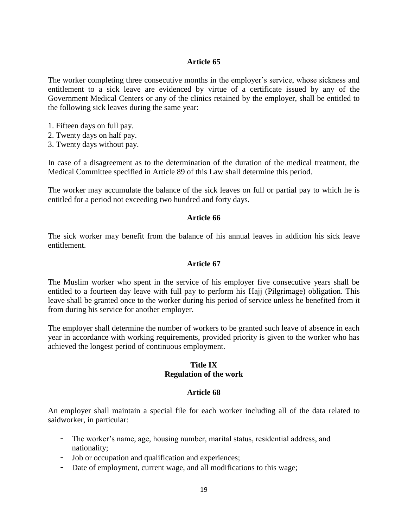The worker completing three consecutive months in the employer's service, whose sickness and entitlement to a sick leave are evidenced by virtue of a certificate issued by any of the Government Medical Centers or any of the clinics retained by the employer, shall be entitled to the following sick leaves during the same year:

- 1. Fifteen days on full pay.
- 2. Twenty days on half pay.
- 3. Twenty days without pay.

In case of a disagreement as to the determination of the duration of the medical treatment, the Medical Committee specified in Article 89 of this Law shall determine this period.

The worker may accumulate the balance of the sick leaves on full or partial pay to which he is entitled for a period not exceeding two hundred and forty days.

### **Article 66**

The sick worker may benefit from the balance of his annual leaves in addition his sick leave entitlement.

### **Article 67**

The Muslim worker who spent in the service of his employer five consecutive years shall be entitled to a fourteen day leave with full pay to perform his Hajj (Pilgrimage) obligation. This leave shall be granted once to the worker during his period of service unless he benefited from it from during his service for another employer.

The employer shall determine the number of workers to be granted such leave of absence in each year in accordance with working requirements, provided priority is given to the worker who has achieved the longest period of continuous employment.

### **Title IX Regulation of the work**

### **Article 68**

An employer shall maintain a special file for each worker including all of the data related to saidworker, in particular:

- The worker's name, age, housing number, marital status, residential address, and nationality;
- Job or occupation and qualification and experiences;
- Date of employment, current wage, and all modifications to this wage;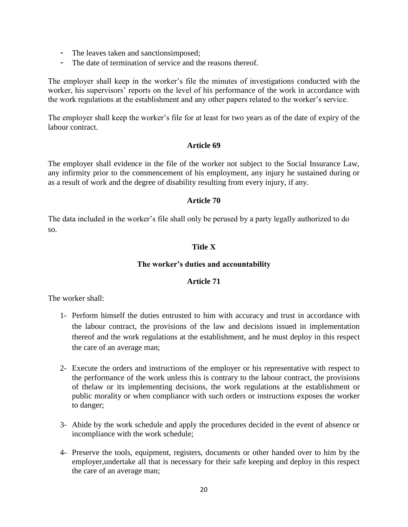- The leaves taken and sanctionsimposed;
- The date of termination of service and the reasons thereof.

The employer shall keep in the worker's file the minutes of investigations conducted with the worker, his supervisors' reports on the level of his performance of the work in accordance with the work regulations at the establishment and any other papers related to the worker's service.

The employer shall keep the worker's file for at least for two years as of the date of expiry of the labour contract.

### **Article 69**

The employer shall evidence in the file of the worker not subject to the Social Insurance Law, any infirmity prior to the commencement of his employment, any injury he sustained during or as a result of work and the degree of disability resulting from every injury, if any.

### **Article 70**

The data included in the worker's file shall only be perused by a party legally authorized to do so.

# **Title X**

### **The worker's duties and accountability**

### **Article 71**

The worker shall:

- 1- Perform himself the duties entrusted to him with accuracy and trust in accordance with the labour contract, the provisions of the law and decisions issued in implementation thereof and the work regulations at the establishment, and he must deploy in this respect the care of an average man;
- 2- Execute the orders and instructions of the employer or his representative with respect to the performance of the work unless this is contrary to the labour contract, the provisions of thelaw or its implementing decisions, the work regulations at the establishment or public morality or when compliance with such orders or instructions exposes the worker to danger;
- 3- Abide by the work schedule and apply the procedures decided in the event of absence or incompliance with the work schedule;
- 4- Preserve the tools, equipment, registers, documents or other handed over to him by the employer,undertake all that is necessary for their safe keeping and deploy in this respect the care of an average man;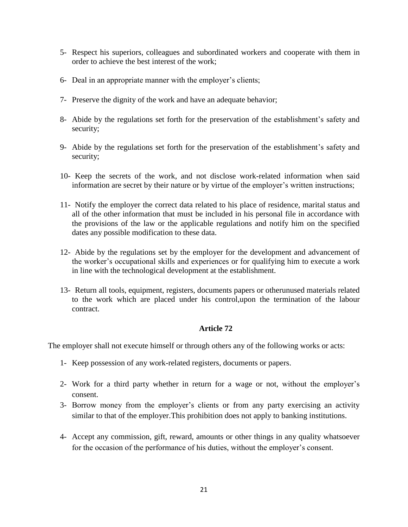- 5- Respect his superiors, colleagues and subordinated workers and cooperate with them in order to achieve the best interest of the work;
- 6- Deal in an appropriate manner with the employer's clients;
- 7- Preserve the dignity of the work and have an adequate behavior;
- 8- Abide by the regulations set forth for the preservation of the establishment's safety and security;
- 9- Abide by the regulations set forth for the preservation of the establishment's safety and security;
- 10- Keep the secrets of the work, and not disclose work-related information when said information are secret by their nature or by virtue of the employer's written instructions;
- 11- Notify the employer the correct data related to his place of residence, marital status and all of the other information that must be included in his personal file in accordance with the provisions of the law or the applicable regulations and notify him on the specified dates any possible modification to these data.
- 12- Abide by the regulations set by the employer for the development and advancement of the worker's occupational skills and experiences or for qualifying him to execute a work in line with the technological development at the establishment.
- 13- Return all tools, equipment, registers, documents papers or otherunused materials related to the work which are placed under his control,upon the termination of the labour contract.

The employer shall not execute himself or through others any of the following works or acts:

- 1- Keep possession of any work-related registers, documents or papers.
- 2- Work for a third party whether in return for a wage or not, without the employer's consent.
- 3- Borrow money from the employer's clients or from any party exercising an activity similar to that of the employer.This prohibition does not apply to banking institutions.
- 4- Accept any commission, gift, reward, amounts or other things in any quality whatsoever for the occasion of the performance of his duties, without the employer's consent.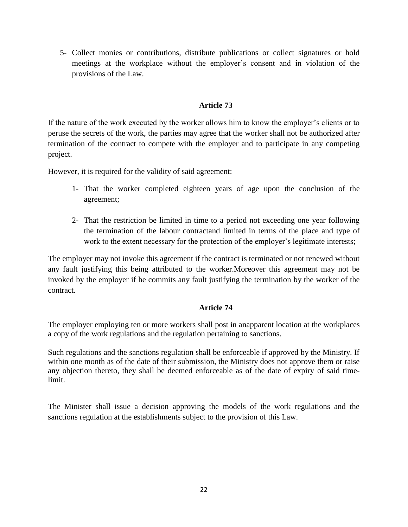5- Collect monies or contributions, distribute publications or collect signatures or hold meetings at the workplace without the employer's consent and in violation of the provisions of the Law.

# **Article 73**

If the nature of the work executed by the worker allows him to know the employer's clients or to peruse the secrets of the work, the parties may agree that the worker shall not be authorized after termination of the contract to compete with the employer and to participate in any competing project.

However, it is required for the validity of said agreement:

- 1- That the worker completed eighteen years of age upon the conclusion of the agreement;
- 2- That the restriction be limited in time to a period not exceeding one year following the termination of the labour contractand limited in terms of the place and type of work to the extent necessary for the protection of the employer's legitimate interests;

The employer may not invoke this agreement if the contract is terminated or not renewed without any fault justifying this being attributed to the worker.Moreover this agreement may not be invoked by the employer if he commits any fault justifying the termination by the worker of the contract.

# **Article 74**

The employer employing ten or more workers shall post in anapparent location at the workplaces a copy of the work regulations and the regulation pertaining to sanctions.

Such regulations and the sanctions regulation shall be enforceable if approved by the Ministry. If within one month as of the date of their submission, the Ministry does not approve them or raise any objection thereto, they shall be deemed enforceable as of the date of expiry of said timelimit.

The Minister shall issue a decision approving the models of the work regulations and the sanctions regulation at the establishments subject to the provision of this Law.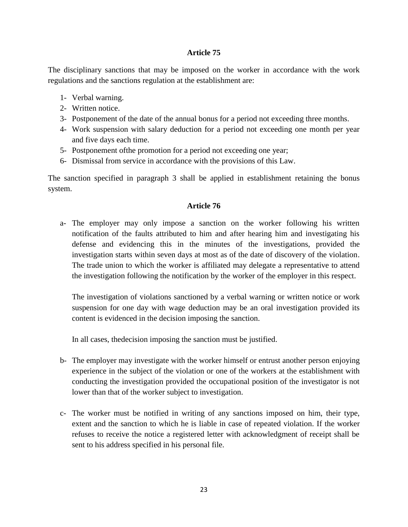The disciplinary sanctions that may be imposed on the worker in accordance with the work regulations and the sanctions regulation at the establishment are:

- 1- Verbal warning.
- 2- Written notice.
- 3- Postponement of the date of the annual bonus for a period not exceeding three months.
- 4- Work suspension with salary deduction for a period not exceeding one month per year and five days each time.
- 5- Postponement ofthe promotion for a period not exceeding one year;
- 6- Dismissal from service in accordance with the provisions of this Law.

The sanction specified in paragraph 3 shall be applied in establishment retaining the bonus system.

# **Article 76**

a- The employer may only impose a sanction on the worker following his written notification of the faults attributed to him and after hearing him and investigating his defense and evidencing this in the minutes of the investigations, provided the investigation starts within seven days at most as of the date of discovery of the violation. The trade union to which the worker is affiliated may delegate a representative to attend the investigation following the notification by the worker of the employer in this respect.

The investigation of violations sanctioned by a verbal warning or written notice or work suspension for one day with wage deduction may be an oral investigation provided its content is evidenced in the decision imposing the sanction.

In all cases, thedecision imposing the sanction must be justified.

- b- The employer may investigate with the worker himself or entrust another person enjoying experience in the subject of the violation or one of the workers at the establishment with conducting the investigation provided the occupational position of the investigator is not lower than that of the worker subject to investigation.
- c- The worker must be notified in writing of any sanctions imposed on him, their type, extent and the sanction to which he is liable in case of repeated violation. If the worker refuses to receive the notice a registered letter with acknowledgment of receipt shall be sent to his address specified in his personal file.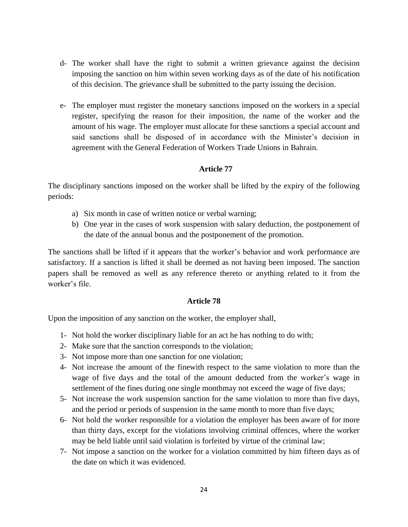- d- The worker shall have the right to submit a written grievance against the decision imposing the sanction on him within seven working days as of the date of his notification of this decision. The grievance shall be submitted to the party issuing the decision.
- e- The employer must register the monetary sanctions imposed on the workers in a special register, specifying the reason for their imposition, the name of the worker and the amount of his wage. The employer must allocate for these sanctions a special account and said sanctions shall be disposed of in accordance with the Minister's decision in agreement with the General Federation of Workers Trade Unions in Bahrain.

The disciplinary sanctions imposed on the worker shall be lifted by the expiry of the following periods:

- a) Six month in case of written notice or verbal warning;
- b) One year in the cases of work suspension with salary deduction, the postponement of the date of the annual bonus and the postponement of the promotion.

The sanctions shall be lifted if it appears that the worker's behavior and work performance are satisfactory. If a sanction is lifted it shall be deemed as not having been imposed. The sanction papers shall be removed as well as any reference thereto or anything related to it from the worker's file.

### **Article 78**

Upon the imposition of any sanction on the worker, the employer shall,

- 1- Not hold the worker disciplinary liable for an act he has nothing to do with;
- 2- Make sure that the sanction corresponds to the violation;
- 3- Not impose more than one sanction for one violation;
- 4- Not increase the amount of the finewith respect to the same violation to more than the wage of five days and the total of the amount deducted from the worker's wage in settlement of the fines during one single monthmay not exceed the wage of five days;
- 5- Not increase the work suspension sanction for the same violation to more than five days, and the period or periods of suspension in the same month to more than five days;
- 6- Not hold the worker responsible for a violation the employer has been aware of for more than thirty days, except for the violations involving criminal offences, where the worker may be held liable until said violation is forfeited by virtue of the criminal law;
- 7- Not impose a sanction on the worker for a violation committed by him fifteen days as of the date on which it was evidenced.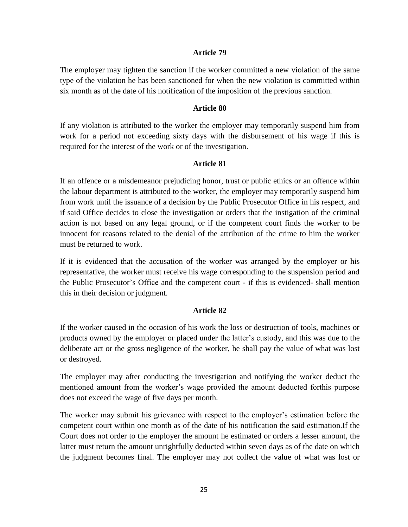The employer may tighten the sanction if the worker committed a new violation of the same type of the violation he has been sanctioned for when the new violation is committed within six month as of the date of his notification of the imposition of the previous sanction.

### **Article 80**

If any violation is attributed to the worker the employer may temporarily suspend him from work for a period not exceeding sixty days with the disbursement of his wage if this is required for the interest of the work or of the investigation.

### **Article 81**

If an offence or a misdemeanor prejudicing honor, trust or public ethics or an offence within the labour department is attributed to the worker, the employer may temporarily suspend him from work until the issuance of a decision by the Public Prosecutor Office in his respect, and if said Office decides to close the investigation or orders that the instigation of the criminal action is not based on any legal ground, or if the competent court finds the worker to be innocent for reasons related to the denial of the attribution of the crime to him the worker must be returned to work.

If it is evidenced that the accusation of the worker was arranged by the employer or his representative, the worker must receive his wage corresponding to the suspension period and the Public Prosecutor's Office and the competent court - if this is evidenced- shall mention this in their decision or judgment.

### **Article 82**

If the worker caused in the occasion of his work the loss or destruction of tools, machines or products owned by the employer or placed under the latter's custody, and this was due to the deliberate act or the gross negligence of the worker, he shall pay the value of what was lost or destroyed.

The employer may after conducting the investigation and notifying the worker deduct the mentioned amount from the worker's wage provided the amount deducted forthis purpose does not exceed the wage of five days per month.

The worker may submit his grievance with respect to the employer's estimation before the competent court within one month as of the date of his notification the said estimation.If the Court does not order to the employer the amount he estimated or orders a lesser amount, the latter must return the amount unrightfully deducted within seven days as of the date on which the judgment becomes final. The employer may not collect the value of what was lost or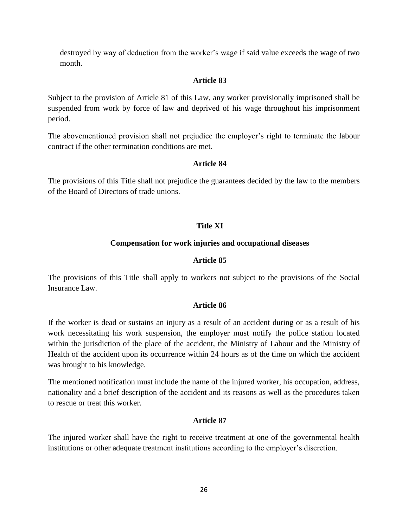destroyed by way of deduction from the worker's wage if said value exceeds the wage of two month.

# **Article 83**

Subject to the provision of Article 81 of this Law, any worker provisionally imprisoned shall be suspended from work by force of law and deprived of his wage throughout his imprisonment period.

The abovementioned provision shall not prejudice the employer's right to terminate the labour contract if the other termination conditions are met.

# **Article 84**

The provisions of this Title shall not prejudice the guarantees decided by the law to the members of the Board of Directors of trade unions.

# **Title XI**

# **Compensation for work injuries and occupational diseases**

# **Article 85**

The provisions of this Title shall apply to workers not subject to the provisions of the Social Insurance Law.

# **Article 86**

If the worker is dead or sustains an injury as a result of an accident during or as a result of his work necessitating his work suspension, the employer must notify the police station located within the jurisdiction of the place of the accident, the Ministry of Labour and the Ministry of Health of the accident upon its occurrence within 24 hours as of the time on which the accident was brought to his knowledge.

The mentioned notification must include the name of the injured worker, his occupation, address, nationality and a brief description of the accident and its reasons as well as the procedures taken to rescue or treat this worker.

# **Article 87**

The injured worker shall have the right to receive treatment at one of the governmental health institutions or other adequate treatment institutions according to the employer's discretion.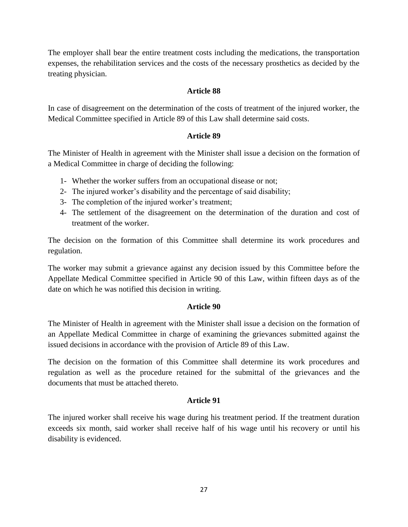The employer shall bear the entire treatment costs including the medications, the transportation expenses, the rehabilitation services and the costs of the necessary prosthetics as decided by the treating physician.

# **Article 88**

In case of disagreement on the determination of the costs of treatment of the injured worker, the Medical Committee specified in Article 89 of this Law shall determine said costs.

# **Article 89**

The Minister of Health in agreement with the Minister shall issue a decision on the formation of a Medical Committee in charge of deciding the following:

- 1- Whether the worker suffers from an occupational disease or not;
- 2- The injured worker's disability and the percentage of said disability;
- 3- The completion of the injured worker's treatment;
- 4- The settlement of the disagreement on the determination of the duration and cost of treatment of the worker.

The decision on the formation of this Committee shall determine its work procedures and regulation.

The worker may submit a grievance against any decision issued by this Committee before the Appellate Medical Committee specified in Article 90 of this Law, within fifteen days as of the date on which he was notified this decision in writing.

### **Article 90**

The Minister of Health in agreement with the Minister shall issue a decision on the formation of an Appellate Medical Committee in charge of examining the grievances submitted against the issued decisions in accordance with the provision of Article 89 of this Law.

The decision on the formation of this Committee shall determine its work procedures and regulation as well as the procedure retained for the submittal of the grievances and the documents that must be attached thereto.

### **Article 91**

The injured worker shall receive his wage during his treatment period. If the treatment duration exceeds six month, said worker shall receive half of his wage until his recovery or until his disability is evidenced.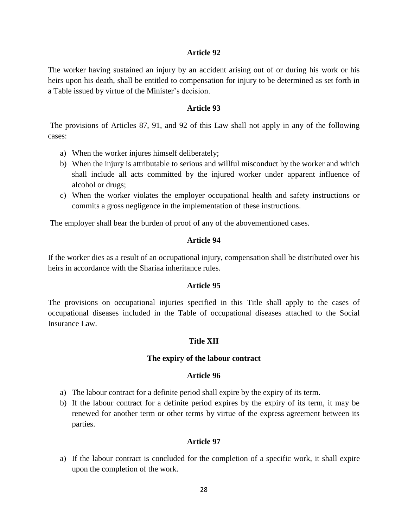The worker having sustained an injury by an accident arising out of or during his work or his heirs upon his death, shall be entitled to compensation for injury to be determined as set forth in a Table issued by virtue of the Minister's decision.

### **Article 93**

The provisions of Articles 87, 91, and 92 of this Law shall not apply in any of the following cases:

- a) When the worker injures himself deliberately;
- b) When the injury is attributable to serious and willful misconduct by the worker and which shall include all acts committed by the injured worker under apparent influence of alcohol or drugs;
- c) When the worker violates the employer occupational health and safety instructions or commits a gross negligence in the implementation of these instructions.

The employer shall bear the burden of proof of any of the abovementioned cases.

### **Article 94**

If the worker dies as a result of an occupational injury, compensation shall be distributed over his heirs in accordance with the Shariaa inheritance rules.

### **Article 95**

The provisions on occupational injuries specified in this Title shall apply to the cases of occupational diseases included in the Table of occupational diseases attached to the Social Insurance Law.

### **Title XII**

### **The expiry of the labour contract**

### **Article 96**

- a) The labour contract for a definite period shall expire by the expiry of its term.
- b) If the labour contract for a definite period expires by the expiry of its term, it may be renewed for another term or other terms by virtue of the express agreement between its parties.

### **Article 97**

a) If the labour contract is concluded for the completion of a specific work, it shall expire upon the completion of the work.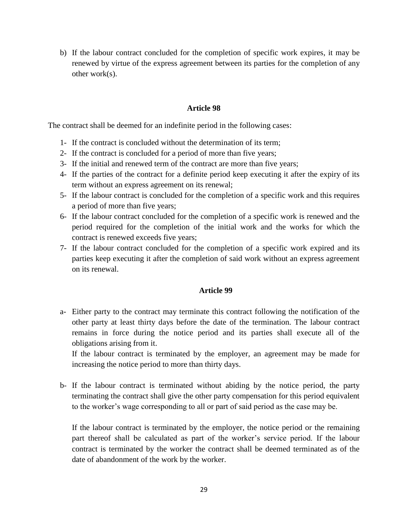b) If the labour contract concluded for the completion of specific work expires, it may be renewed by virtue of the express agreement between its parties for the completion of any other work(s).

### **Article 98**

The contract shall be deemed for an indefinite period in the following cases:

- 1- If the contract is concluded without the determination of its term;
- 2- If the contract is concluded for a period of more than five years;
- 3- If the initial and renewed term of the contract are more than five years;
- 4- If the parties of the contract for a definite period keep executing it after the expiry of its term without an express agreement on its renewal;
- 5- If the labour contract is concluded for the completion of a specific work and this requires a period of more than five years;
- 6- If the labour contract concluded for the completion of a specific work is renewed and the period required for the completion of the initial work and the works for which the contract is renewed exceeds five years;
- 7- If the labour contract concluded for the completion of a specific work expired and its parties keep executing it after the completion of said work without an express agreement on its renewal.

# **Article 99**

a- Either party to the contract may terminate this contract following the notification of the other party at least thirty days before the date of the termination. The labour contract remains in force during the notice period and its parties shall execute all of the obligations arising from it.

If the labour contract is terminated by the employer, an agreement may be made for increasing the notice period to more than thirty days.

b- If the labour contract is terminated without abiding by the notice period, the party terminating the contract shall give the other party compensation for this period equivalent to the worker's wage corresponding to all or part of said period as the case may be.

If the labour contract is terminated by the employer, the notice period or the remaining part thereof shall be calculated as part of the worker's service period. If the labour contract is terminated by the worker the contract shall be deemed terminated as of the date of abandonment of the work by the worker.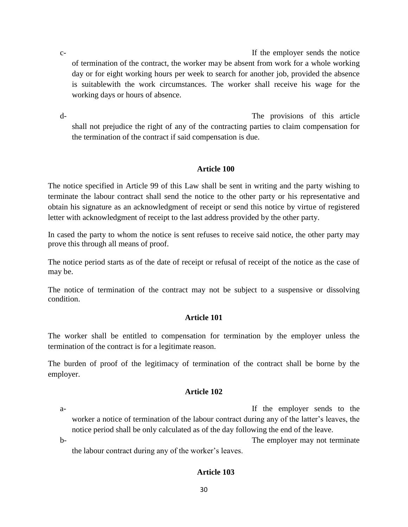c- The employer sends the notice of the employer sends the notice of termination of the contract, the worker may be absent from work for a whole working day or for eight working hours per week to search for another job, provided the absence is suitablewith the work circumstances. The worker shall receive his wage for the working days or hours of absence.

d- The provisions of this article shall not prejudice the right of any of the contracting parties to claim compensation for the termination of the contract if said compensation is due.

# **Article 100**

The notice specified in Article 99 of this Law shall be sent in writing and the party wishing to terminate the labour contract shall send the notice to the other party or his representative and obtain his signature as an acknowledgment of receipt or send this notice by virtue of registered letter with acknowledgment of receipt to the last address provided by the other party.

In cased the party to whom the notice is sent refuses to receive said notice, the other party may prove this through all means of proof.

The notice period starts as of the date of receipt or refusal of receipt of the notice as the case of may be.

The notice of termination of the contract may not be subject to a suspensive or dissolving condition.

# **Article 101**

The worker shall be entitled to compensation for termination by the employer unless the termination of the contract is for a legitimate reason.

The burden of proof of the legitimacy of termination of the contract shall be borne by the employer.

# **Article 102**

a- If the employer sends to the worker a notice of termination of the labour contract during any of the latter's leaves, the notice period shall be only calculated as of the day following the end of the leave.

b- the employer may not terminate the labour contract during any of the worker's leaves.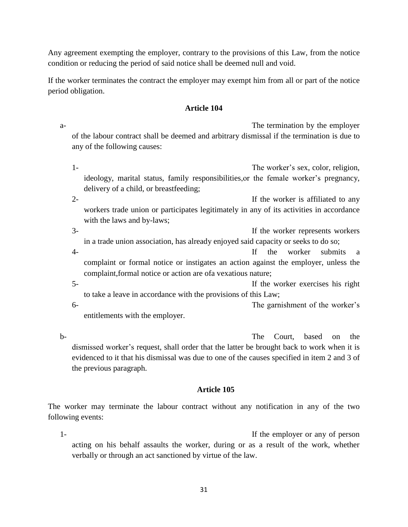Any agreement exempting the employer, contrary to the provisions of this Law, from the notice condition or reducing the period of said notice shall be deemed null and void.

If the worker terminates the contract the employer may exempt him from all or part of the notice period obligation.

# **Article 104**

a- The termination by the employer of the labour contract shall be deemed and arbitrary dismissal if the termination is due to any of the following causes:

- 1- The worker's sex, color, religion, ideology, marital status, family responsibilities,or the female worker's pregnancy, delivery of a child, or breastfeeding;
- 2- If the worker is affiliated to any workers trade union or participates legitimately in any of its activities in accordance with the laws and by-laws;
- 3- If the worker represents workers in a trade union association, has already enjoyed said capacity or seeks to do so;
- 4- If the worker submits a complaint or formal notice or instigates an action against the employer, unless the complaint,formal notice or action are ofa vexatious nature;
- 5- If the worker exercises his right to take a leave in accordance with the provisions of this Law; 6- The garnishment of the worker's

entitlements with the employer.

b- The Court, based on the bdismissed worker's request, shall order that the latter be brought back to work when it is evidenced to it that his dismissal was due to one of the causes specified in item 2 and 3 of the previous paragraph.

# **Article 105**

The worker may terminate the labour contract without any notification in any of the two following events:

1- If the employer or any of person acting on his behalf assaults the worker, during or as a result of the work, whether verbally or through an act sanctioned by virtue of the law.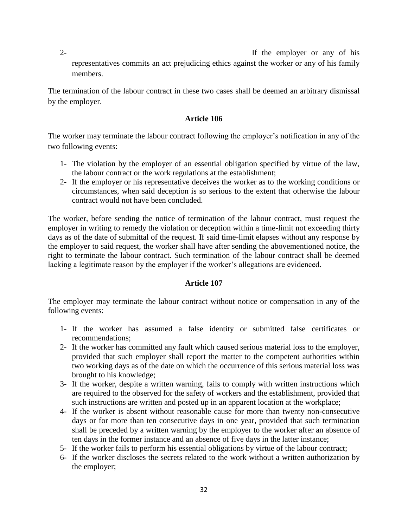2- If the employer or any of his representatives commits an act prejudicing ethics against the worker or any of his family members.

The termination of the labour contract in these two cases shall be deemed an arbitrary dismissal by the employer.

# **Article 106**

The worker may terminate the labour contract following the employer's notification in any of the two following events:

- 1- The violation by the employer of an essential obligation specified by virtue of the law, the labour contract or the work regulations at the establishment;
- 2- If the employer or his representative deceives the worker as to the working conditions or circumstances, when said deception is so serious to the extent that otherwise the labour contract would not have been concluded.

The worker, before sending the notice of termination of the labour contract, must request the employer in writing to remedy the violation or deception within a time-limit not exceeding thirty days as of the date of submittal of the request. If said time-limit elapses without any response by the employer to said request, the worker shall have after sending the abovementioned notice, the right to terminate the labour contract. Such termination of the labour contract shall be deemed lacking a legitimate reason by the employer if the worker's allegations are evidenced.

# **Article 107**

The employer may terminate the labour contract without notice or compensation in any of the following events:

- 1- If the worker has assumed a false identity or submitted false certificates or recommendations;
- 2- If the worker has committed any fault which caused serious material loss to the employer, provided that such employer shall report the matter to the competent authorities within two working days as of the date on which the occurrence of this serious material loss was brought to his knowledge;
- 3- If the worker, despite a written warning, fails to comply with written instructions which are required to the observed for the safety of workers and the establishment, provided that such instructions are written and posted up in an apparent location at the workplace;
- 4- If the worker is absent without reasonable cause for more than twenty non-consecutive days or for more than ten consecutive days in one year, provided that such termination shall be preceded by a written warning by the employer to the worker after an absence of ten days in the former instance and an absence of five days in the latter instance;
- 5- If the worker fails to perform his essential obligations by virtue of the labour contract;
- 6- If the worker discloses the secrets related to the work without a written authorization by the employer;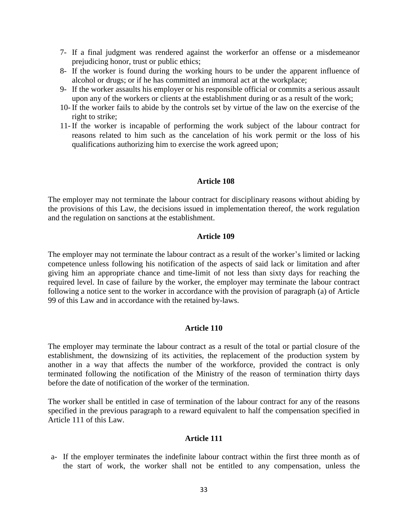- 7- If a final judgment was rendered against the workerfor an offense or a misdemeanor prejudicing honor, trust or public ethics;
- 8- If the worker is found during the working hours to be under the apparent influence of alcohol or drugs; or if he has committed an immoral act at the workplace;
- 9- If the worker assaults his employer or his responsible official or commits a serious assault upon any of the workers or clients at the establishment during or as a result of the work;
- 10- If the worker fails to abide by the controls set by virtue of the law on the exercise of the right to strike;
- 11- If the worker is incapable of performing the work subject of the labour contract for reasons related to him such as the cancelation of his work permit or the loss of his qualifications authorizing him to exercise the work agreed upon;

The employer may not terminate the labour contract for disciplinary reasons without abiding by the provisions of this Law, the decisions issued in implementation thereof, the work regulation and the regulation on sanctions at the establishment.

### **Article 109**

The employer may not terminate the labour contract as a result of the worker's limited or lacking competence unless following his notification of the aspects of said lack or limitation and after giving him an appropriate chance and time-limit of not less than sixty days for reaching the required level. In case of failure by the worker, the employer may terminate the labour contract following a notice sent to the worker in accordance with the provision of paragraph (a) of Article 99 of this Law and in accordance with the retained by-laws.

### **Article 110**

The employer may terminate the labour contract as a result of the total or partial closure of the establishment, the downsizing of its activities, the replacement of the production system by another in a way that affects the number of the workforce, provided the contract is only terminated following the notification of the Ministry of the reason of termination thirty days before the date of notification of the worker of the termination.

The worker shall be entitled in case of termination of the labour contract for any of the reasons specified in the previous paragraph to a reward equivalent to half the compensation specified in Article 111 of this Law.

### **Article 111**

a- If the employer terminates the indefinite labour contract within the first three month as of the start of work, the worker shall not be entitled to any compensation, unless the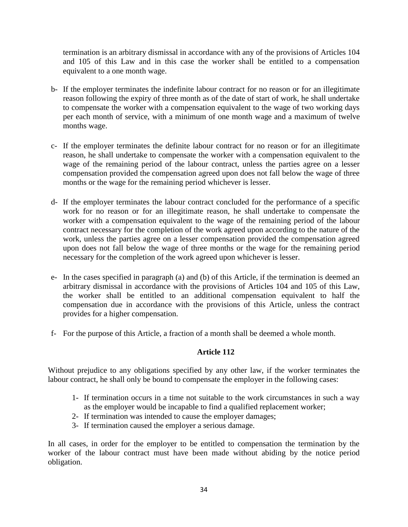termination is an arbitrary dismissal in accordance with any of the provisions of Articles 104 and 105 of this Law and in this case the worker shall be entitled to a compensation equivalent to a one month wage.

- b- If the employer terminates the indefinite labour contract for no reason or for an illegitimate reason following the expiry of three month as of the date of start of work, he shall undertake to compensate the worker with a compensation equivalent to the wage of two working days per each month of service, with a minimum of one month wage and a maximum of twelve months wage.
- c- If the employer terminates the definite labour contract for no reason or for an illegitimate reason, he shall undertake to compensate the worker with a compensation equivalent to the wage of the remaining period of the labour contract, unless the parties agree on a lesser compensation provided the compensation agreed upon does not fall below the wage of three months or the wage for the remaining period whichever is lesser.
- d- If the employer terminates the labour contract concluded for the performance of a specific work for no reason or for an illegitimate reason, he shall undertake to compensate the worker with a compensation equivalent to the wage of the remaining period of the labour contract necessary for the completion of the work agreed upon according to the nature of the work, unless the parties agree on a lesser compensation provided the compensation agreed upon does not fall below the wage of three months or the wage for the remaining period necessary for the completion of the work agreed upon whichever is lesser.
- e- In the cases specified in paragraph (a) and (b) of this Article, if the termination is deemed an arbitrary dismissal in accordance with the provisions of Articles 104 and 105 of this Law, the worker shall be entitled to an additional compensation equivalent to half the compensation due in accordance with the provisions of this Article, unless the contract provides for a higher compensation.
- f- For the purpose of this Article, a fraction of a month shall be deemed a whole month.

# **Article 112**

Without prejudice to any obligations specified by any other law, if the worker terminates the labour contract, he shall only be bound to compensate the employer in the following cases:

- 1- If termination occurs in a time not suitable to the work circumstances in such a way as the employer would be incapable to find a qualified replacement worker;
- 2- If termination was intended to cause the employer damages;
- 3- If termination caused the employer a serious damage.

In all cases, in order for the employer to be entitled to compensation the termination by the worker of the labour contract must have been made without abiding by the notice period obligation.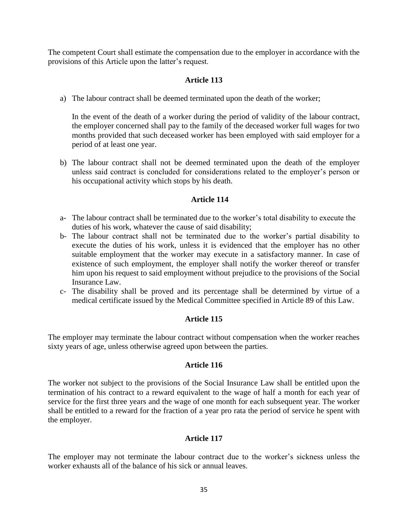The competent Court shall estimate the compensation due to the employer in accordance with the provisions of this Article upon the latter's request.

# **Article 113**

a) The labour contract shall be deemed terminated upon the death of the worker;

In the event of the death of a worker during the period of validity of the labour contract, the employer concerned shall pay to the family of the deceased worker full wages for two months provided that such deceased worker has been employed with said employer for a period of at least one year.

b) The labour contract shall not be deemed terminated upon the death of the employer unless said contract is concluded for considerations related to the employer's person or his occupational activity which stops by his death.

# **Article 114**

- a- The labour contract shall be terminated due to the worker's total disability to execute the duties of his work, whatever the cause of said disability;
- b- The labour contract shall not be terminated due to the worker's partial disability to execute the duties of his work, unless it is evidenced that the employer has no other suitable employment that the worker may execute in a satisfactory manner. In case of existence of such employment, the employer shall notify the worker thereof or transfer him upon his request to said employment without prejudice to the provisions of the Social Insurance Law.
- c- The disability shall be proved and its percentage shall be determined by virtue of a medical certificate issued by the Medical Committee specified in Article 89 of this Law.

### **Article 115**

The employer may terminate the labour contract without compensation when the worker reaches sixty years of age, unless otherwise agreed upon between the parties.

### **Article 116**

The worker not subject to the provisions of the Social Insurance Law shall be entitled upon the termination of his contract to a reward equivalent to the wage of half a month for each year of service for the first three years and the wage of one month for each subsequent year. The worker shall be entitled to a reward for the fraction of a year pro rata the period of service he spent with the employer.

### **Article 117**

The employer may not terminate the labour contract due to the worker's sickness unless the worker exhausts all of the balance of his sick or annual leaves.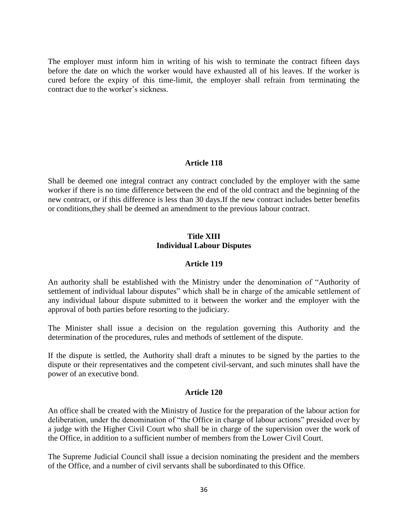The employer must inform him in writing of his wish to terminate the contract fifteen days before the date on which the worker would have exhausted all of his leaves. If the worker is cured before the expiry of this time-limit, the employer shall refrain from terminating the contract due to the worker's sickness.

# **Article 118**

Shall be deemed one integral contract any contract concluded by the employer with the same worker if there is no time difference between the end of the old contract and the beginning of the new contract, or if this difference is less than 30 days.If the new contract includes better benefits or conditions,they shall be deemed an amendment to the previous labour contract.

### **Title XIII Individual Labour Disputes**

### **Article 119**

An authority shall be established with the Ministry under the denomination of "Authority of settlement of individual labour disputes" which shall be in charge of the amicable settlement of any individual labour dispute submitted to it between the worker and the employer with the approval of both parties before resorting to the judiciary.

The Minister shall issue a decision on the regulation governing this Authority and the determination of the procedures, rules and methods of settlement of the dispute.

If the dispute is settled, the Authority shall draft a minutes to be signed by the parties to the dispute or their representatives and the competent civil-servant, and such minutes shall have the power of an executive bond.

### **Article 120**

An office shall be created with the Ministry of Justice for the preparation of the labour action for deliberation, under the denomination of "the Office in charge of labour actions" presided over by a judge with the Higher Civil Court who shall be in charge of the supervision over the work of the Office, in addition to a sufficient number of members from the Lower Civil Court.

The Supreme Judicial Council shall issue a decision nominating the president and the members of the Office, and a number of civil servants shall be subordinated to this Office.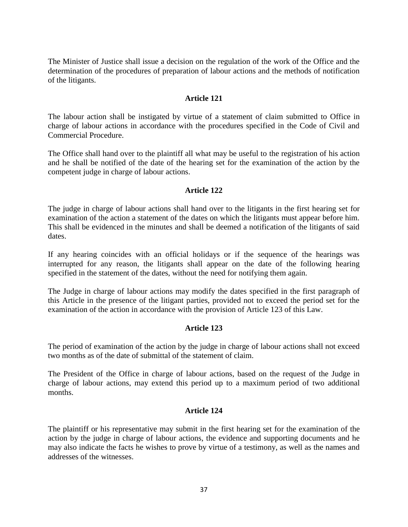The Minister of Justice shall issue a decision on the regulation of the work of the Office and the determination of the procedures of preparation of labour actions and the methods of notification of the litigants.

### **Article 121**

The labour action shall be instigated by virtue of a statement of claim submitted to Office in charge of labour actions in accordance with the procedures specified in the Code of Civil and Commercial Procedure.

The Office shall hand over to the plaintiff all what may be useful to the registration of his action and he shall be notified of the date of the hearing set for the examination of the action by the competent judge in charge of labour actions.

### **Article 122**

The judge in charge of labour actions shall hand over to the litigants in the first hearing set for examination of the action a statement of the dates on which the litigants must appear before him. This shall be evidenced in the minutes and shall be deemed a notification of the litigants of said dates.

If any hearing coincides with an official holidays or if the sequence of the hearings was interrupted for any reason, the litigants shall appear on the date of the following hearing specified in the statement of the dates, without the need for notifying them again.

The Judge in charge of labour actions may modify the dates specified in the first paragraph of this Article in the presence of the litigant parties, provided not to exceed the period set for the examination of the action in accordance with the provision of Article 123 of this Law.

### **Article 123**

The period of examination of the action by the judge in charge of labour actions shall not exceed two months as of the date of submittal of the statement of claim.

The President of the Office in charge of labour actions, based on the request of the Judge in charge of labour actions, may extend this period up to a maximum period of two additional months.

### **Article 124**

The plaintiff or his representative may submit in the first hearing set for the examination of the action by the judge in charge of labour actions, the evidence and supporting documents and he may also indicate the facts he wishes to prove by virtue of a testimony, as well as the names and addresses of the witnesses.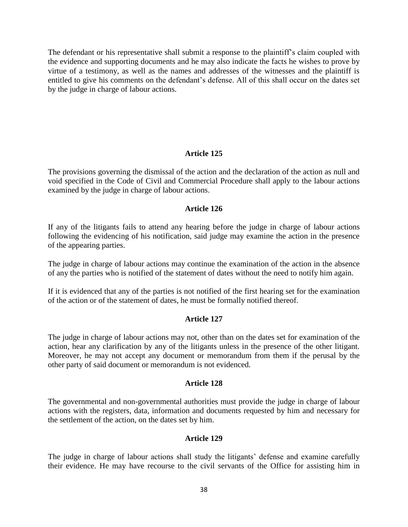The defendant or his representative shall submit a response to the plaintiff's claim coupled with the evidence and supporting documents and he may also indicate the facts he wishes to prove by virtue of a testimony, as well as the names and addresses of the witnesses and the plaintiff is entitled to give his comments on the defendant's defense. All of this shall occur on the dates set by the judge in charge of labour actions.

### **Article 125**

The provisions governing the dismissal of the action and the declaration of the action as null and void specified in the Code of Civil and Commercial Procedure shall apply to the labour actions examined by the judge in charge of labour actions.

### **Article 126**

If any of the litigants fails to attend any hearing before the judge in charge of labour actions following the evidencing of his notification, said judge may examine the action in the presence of the appearing parties.

The judge in charge of labour actions may continue the examination of the action in the absence of any the parties who is notified of the statement of dates without the need to notify him again.

If it is evidenced that any of the parties is not notified of the first hearing set for the examination of the action or of the statement of dates, he must be formally notified thereof.

### **Article 127**

The judge in charge of labour actions may not, other than on the dates set for examination of the action, hear any clarification by any of the litigants unless in the presence of the other litigant. Moreover, he may not accept any document or memorandum from them if the perusal by the other party of said document or memorandum is not evidenced.

### **Article 128**

The governmental and non-governmental authorities must provide the judge in charge of labour actions with the registers, data, information and documents requested by him and necessary for the settlement of the action, on the dates set by him.

### **Article 129**

The judge in charge of labour actions shall study the litigants' defense and examine carefully their evidence. He may have recourse to the civil servants of the Office for assisting him in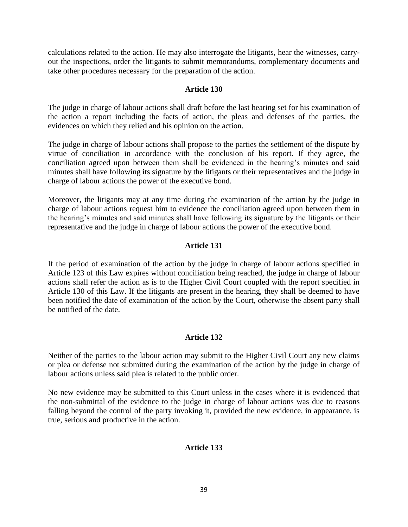calculations related to the action. He may also interrogate the litigants, hear the witnesses, carryout the inspections, order the litigants to submit memorandums, complementary documents and take other procedures necessary for the preparation of the action.

### **Article 130**

The judge in charge of labour actions shall draft before the last hearing set for his examination of the action a report including the facts of action, the pleas and defenses of the parties, the evidences on which they relied and his opinion on the action.

The judge in charge of labour actions shall propose to the parties the settlement of the dispute by virtue of conciliation in accordance with the conclusion of his report. If they agree, the conciliation agreed upon between them shall be evidenced in the hearing's minutes and said minutes shall have following its signature by the litigants or their representatives and the judge in charge of labour actions the power of the executive bond.

Moreover, the litigants may at any time during the examination of the action by the judge in charge of labour actions request him to evidence the conciliation agreed upon between them in the hearing's minutes and said minutes shall have following its signature by the litigants or their representative and the judge in charge of labour actions the power of the executive bond.

### **Article 131**

If the period of examination of the action by the judge in charge of labour actions specified in Article 123 of this Law expires without conciliation being reached, the judge in charge of labour actions shall refer the action as is to the Higher Civil Court coupled with the report specified in Article 130 of this Law. If the litigants are present in the hearing, they shall be deemed to have been notified the date of examination of the action by the Court, otherwise the absent party shall be notified of the date.

### **Article 132**

Neither of the parties to the labour action may submit to the Higher Civil Court any new claims or plea or defense not submitted during the examination of the action by the judge in charge of labour actions unless said plea is related to the public order.

No new evidence may be submitted to this Court unless in the cases where it is evidenced that the non-submittal of the evidence to the judge in charge of labour actions was due to reasons falling beyond the control of the party invoking it, provided the new evidence, in appearance, is true, serious and productive in the action.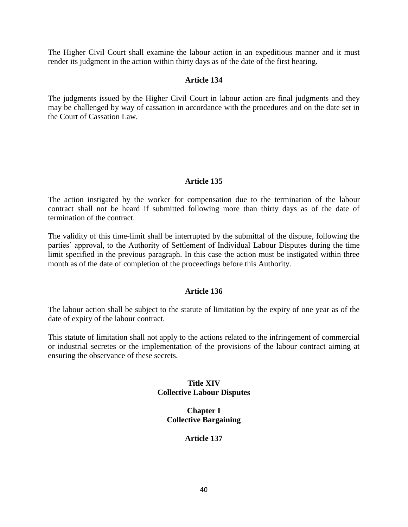The Higher Civil Court shall examine the labour action in an expeditious manner and it must render its judgment in the action within thirty days as of the date of the first hearing.

# **Article 134**

The judgments issued by the Higher Civil Court in labour action are final judgments and they may be challenged by way of cassation in accordance with the procedures and on the date set in the Court of Cassation Law.

# **Article 135**

The action instigated by the worker for compensation due to the termination of the labour contract shall not be heard if submitted following more than thirty days as of the date of termination of the contract.

The validity of this time-limit shall be interrupted by the submittal of the dispute, following the parties' approval, to the Authority of Settlement of Individual Labour Disputes during the time limit specified in the previous paragraph. In this case the action must be instigated within three month as of the date of completion of the proceedings before this Authority.

# **Article 136**

The labour action shall be subject to the statute of limitation by the expiry of one year as of the date of expiry of the labour contract.

This statute of limitation shall not apply to the actions related to the infringement of commercial or industrial secretes or the implementation of the provisions of the labour contract aiming at ensuring the observance of these secrets.

# **Title XIV Collective Labour Disputes**

# **Chapter I Collective Bargaining**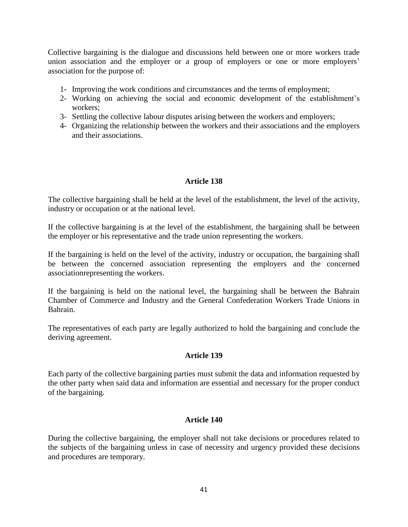Collective bargaining is the dialogue and discussions held between one or more workers trade union association and the employer or a group of employers or one or more employers' association for the purpose of:

- 1- Improving the work conditions and circumstances and the terms of employment;
- 2- Working on achieving the social and economic development of the establishment's workers;
- 3- Settling the collective labour disputes arising between the workers and employers;
- 4- Organizing the relationship between the workers and their associations and the employers and their associations.

# **Article 138**

The collective bargaining shall be held at the level of the establishment, the level of the activity, industry or occupation or at the national level.

If the collective bargaining is at the level of the establishment, the bargaining shall be between the employer or his representative and the trade union representing the workers.

If the bargaining is held on the level of the activity, industry or occupation, the bargaining shall be between the concerned association representing the employers and the concerned associationrepresenting the workers.

If the bargaining is held on the national level, the bargaining shall be between the Bahrain Chamber of Commerce and Industry and the General Confederation Workers Trade Unions in Bahrain.

The representatives of each party are legally authorized to hold the bargaining and conclude the deriving agreement.

### **Article 139**

Each party of the collective bargaining parties must submit the data and information requested by the other party when said data and information are essential and necessary for the proper conduct of the bargaining.

### **Article 140**

During the collective bargaining, the employer shall not take decisions or procedures related to the subjects of the bargaining unless in case of necessity and urgency provided these decisions and procedures are temporary.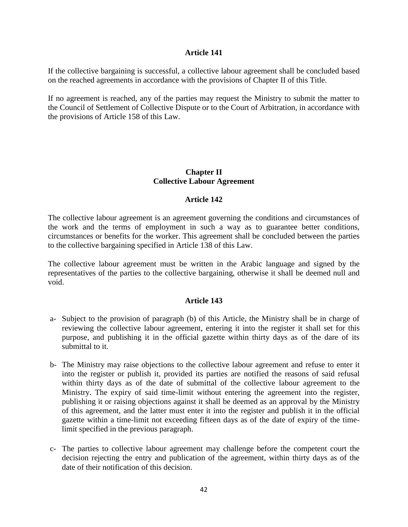If the collective bargaining is successful, a collective labour agreement shall be concluded based on the reached agreements in accordance with the provisions of Chapter II of this Title.

If no agreement is reached, any of the parties may request the Ministry to submit the matter to the Council of Settlement of Collective Dispute or to the Court of Arbitration, in accordance with the provisions of Article 158 of this Law.

## **Chapter II Collective Labour Agreement**

### **Article 142**

The collective labour agreement is an agreement governing the conditions and circumstances of the work and the terms of employment in such a way as to guarantee better conditions, circumstances or benefits for the worker. This agreement shall be concluded between the parties to the collective bargaining specified in Article 138 of this Law.

The collective labour agreement must be written in the Arabic language and signed by the representatives of the parties to the collective bargaining, otherwise it shall be deemed null and void.

- a- Subject to the provision of paragraph (b) of this Article, the Ministry shall be in charge of reviewing the collective labour agreement, entering it into the register it shall set for this purpose, and publishing it in the official gazette within thirty days as of the dare of its submittal to it.
- b- The Ministry may raise objections to the collective labour agreement and refuse to enter it into the register or publish it, provided its parties are notified the reasons of said refusal within thirty days as of the date of submittal of the collective labour agreement to the Ministry. The expiry of said time-limit without entering the agreement into the register, publishing it or raising objections against it shall be deemed as an approval by the Ministry of this agreement, and the latter must enter it into the register and publish it in the official gazette within a time-limit not exceeding fifteen days as of the date of expiry of the timelimit specified in the previous paragraph.
- c- The parties to collective labour agreement may challenge before the competent court the decision rejecting the entry and publication of the agreement, within thirty days as of the date of their notification of this decision.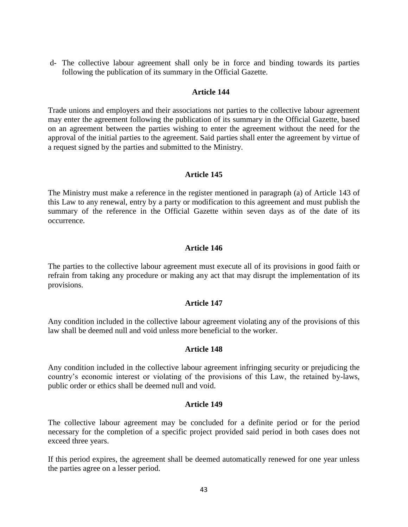d- The collective labour agreement shall only be in force and binding towards its parties following the publication of its summary in the Official Gazette.

### **Article 144**

Trade unions and employers and their associations not parties to the collective labour agreement may enter the agreement following the publication of its summary in the Official Gazette, based on an agreement between the parties wishing to enter the agreement without the need for the approval of the initial parties to the agreement. Said parties shall enter the agreement by virtue of a request signed by the parties and submitted to the Ministry.

### **Article 145**

The Ministry must make a reference in the register mentioned in paragraph (a) of Article 143 of this Law to any renewal, entry by a party or modification to this agreement and must publish the summary of the reference in the Official Gazette within seven days as of the date of its occurrence.

### **Article 146**

The parties to the collective labour agreement must execute all of its provisions in good faith or refrain from taking any procedure or making any act that may disrupt the implementation of its provisions.

### **Article 147**

Any condition included in the collective labour agreement violating any of the provisions of this law shall be deemed null and void unless more beneficial to the worker.

### **Article 148**

Any condition included in the collective labour agreement infringing security or prejudicing the country's economic interest or violating of the provisions of this Law, the retained by-laws, public order or ethics shall be deemed null and void.

### **Article 149**

The collective labour agreement may be concluded for a definite period or for the period necessary for the completion of a specific project provided said period in both cases does not exceed three years.

If this period expires, the agreement shall be deemed automatically renewed for one year unless the parties agree on a lesser period.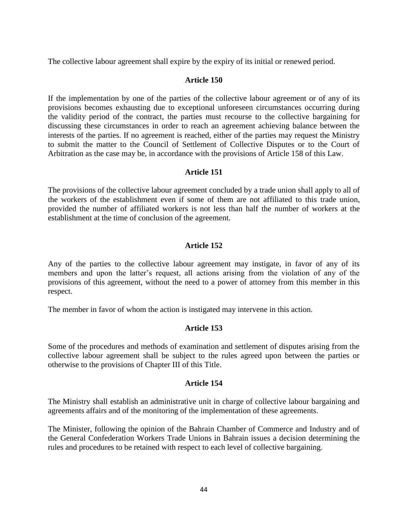The collective labour agreement shall expire by the expiry of its initial or renewed period.

## **Article 150**

If the implementation by one of the parties of the collective labour agreement or of any of its provisions becomes exhausting due to exceptional unforeseen circumstances occurring during the validity period of the contract, the parties must recourse to the collective bargaining for discussing these circumstances in order to reach an agreement achieving balance between the interests of the parties. If no agreement is reached, either of the parties may request the Ministry to submit the matter to the Council of Settlement of Collective Disputes or to the Court of Arbitration as the case may be, in accordance with the provisions of Article 158 of this Law.

# **Article 151**

The provisions of the collective labour agreement concluded by a trade union shall apply to all of the workers of the establishment even if some of them are not affiliated to this trade union, provided the number of affiliated workers is not less than half the number of workers at the establishment at the time of conclusion of the agreement.

# **Article 152**

Any of the parties to the collective labour agreement may instigate, in favor of any of its members and upon the latter's request, all actions arising from the violation of any of the provisions of this agreement, without the need to a power of attorney from this member in this respect.

The member in favor of whom the action is instigated may intervene in this action.

### **Article 153**

Some of the procedures and methods of examination and settlement of disputes arising from the collective labour agreement shall be subject to the rules agreed upon between the parties or otherwise to the provisions of Chapter III of this Title.

### **Article 154**

The Ministry shall establish an administrative unit in charge of collective labour bargaining and agreements affairs and of the monitoring of the implementation of these agreements.

The Minister, following the opinion of the Bahrain Chamber of Commerce and Industry and of the General Confederation Workers Trade Unions in Bahrain issues a decision determining the rules and procedures to be retained with respect to each level of collective bargaining.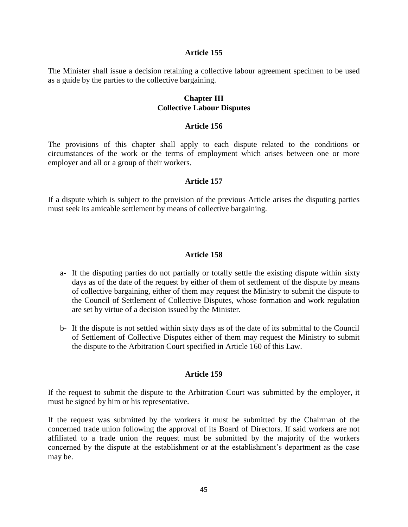The Minister shall issue a decision retaining a collective labour agreement specimen to be used as a guide by the parties to the collective bargaining.

### **Chapter III Collective Labour Disputes**

#### **Article 156**

The provisions of this chapter shall apply to each dispute related to the conditions or circumstances of the work or the terms of employment which arises between one or more employer and all or a group of their workers.

### **Article 157**

If a dispute which is subject to the provision of the previous Article arises the disputing parties must seek its amicable settlement by means of collective bargaining.

### **Article 158**

- a- If the disputing parties do not partially or totally settle the existing dispute within sixty days as of the date of the request by either of them of settlement of the dispute by means of collective bargaining, either of them may request the Ministry to submit the dispute to the Council of Settlement of Collective Disputes, whose formation and work regulation are set by virtue of a decision issued by the Minister.
- b- If the dispute is not settled within sixty days as of the date of its submittal to the Council of Settlement of Collective Disputes either of them may request the Ministry to submit the dispute to the Arbitration Court specified in Article 160 of this Law.

#### **Article 159**

If the request to submit the dispute to the Arbitration Court was submitted by the employer, it must be signed by him or his representative.

If the request was submitted by the workers it must be submitted by the Chairman of the concerned trade union following the approval of its Board of Directors. If said workers are not affiliated to a trade union the request must be submitted by the majority of the workers concerned by the dispute at the establishment or at the establishment's department as the case may be.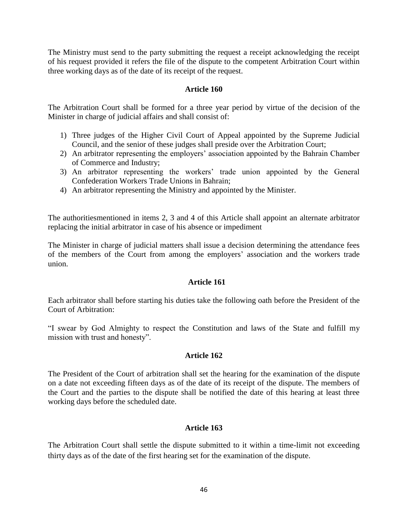The Ministry must send to the party submitting the request a receipt acknowledging the receipt of his request provided it refers the file of the dispute to the competent Arbitration Court within three working days as of the date of its receipt of the request.

### **Article 160**

The Arbitration Court shall be formed for a three year period by virtue of the decision of the Minister in charge of judicial affairs and shall consist of:

- 1) Three judges of the Higher Civil Court of Appeal appointed by the Supreme Judicial Council, and the senior of these judges shall preside over the Arbitration Court;
- 2) An arbitrator representing the employers' association appointed by the Bahrain Chamber of Commerce and Industry;
- 3) An arbitrator representing the workers' trade union appointed by the General Confederation Workers Trade Unions in Bahrain;
- 4) An arbitrator representing the Ministry and appointed by the Minister.

The authoritiesmentioned in items 2, 3 and 4 of this Article shall appoint an alternate arbitrator replacing the initial arbitrator in case of his absence or impediment

The Minister in charge of judicial matters shall issue a decision determining the attendance fees of the members of the Court from among the employers' association and the workers trade union.

### **Article 161**

Each arbitrator shall before starting his duties take the following oath before the President of the Court of Arbitration:

"I swear by God Almighty to respect the Constitution and laws of the State and fulfill my mission with trust and honesty".

### **Article 162**

The President of the Court of arbitration shall set the hearing for the examination of the dispute on a date not exceeding fifteen days as of the date of its receipt of the dispute. The members of the Court and the parties to the dispute shall be notified the date of this hearing at least three working days before the scheduled date.

# **Article 163**

The Arbitration Court shall settle the dispute submitted to it within a time-limit not exceeding thirty days as of the date of the first hearing set for the examination of the dispute.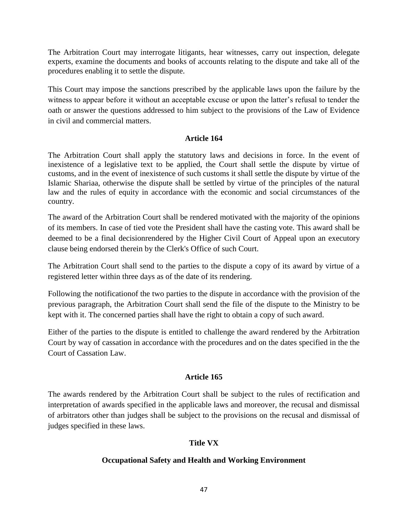The Arbitration Court may interrogate litigants, hear witnesses, carry out inspection, delegate experts, examine the documents and books of accounts relating to the dispute and take all of the procedures enabling it to settle the dispute.

This Court may impose the sanctions prescribed by the applicable laws upon the failure by the witness to appear before it without an acceptable excuse or upon the latter's refusal to tender the oath or answer the questions addressed to him subject to the provisions of the Law of Evidence in civil and commercial matters.

# **Article 164**

The Arbitration Court shall apply the statutory laws and decisions in force. In the event of inexistence of a legislative text to be applied, the Court shall settle the dispute by virtue of customs, and in the event of inexistence of such customs it shall settle the dispute by virtue of the Islamic Shariaa, otherwise the dispute shall be settled by virtue of the principles of the natural law and the rules of equity in accordance with the economic and social circumstances of the country.

The award of the Arbitration Court shall be rendered motivated with the majority of the opinions of its members. In case of tied vote the President shall have the casting vote. This award shall be deemed to be a final decisionrendered by the Higher Civil Court of Appeal upon an executory clause being endorsed therein by the Clerk's Office of such Court.

The Arbitration Court shall send to the parties to the dispute a copy of its award by virtue of a registered letter within three days as of the date of its rendering.

Following the notificationof the two parties to the dispute in accordance with the provision of the previous paragraph, the Arbitration Court shall send the file of the dispute to the Ministry to be kept with it. The concerned parties shall have the right to obtain a copy of such award.

Either of the parties to the dispute is entitled to challenge the award rendered by the Arbitration Court by way of cassation in accordance with the procedures and on the dates specified in the the Court of Cassation Law.

# **Article 165**

The awards rendered by the Arbitration Court shall be subject to the rules of rectification and interpretation of awards specified in the applicable laws and moreover, the recusal and dismissal of arbitrators other than judges shall be subject to the provisions on the recusal and dismissal of judges specified in these laws.

# **Title VX**

# **Occupational Safety and Health and Working Environment**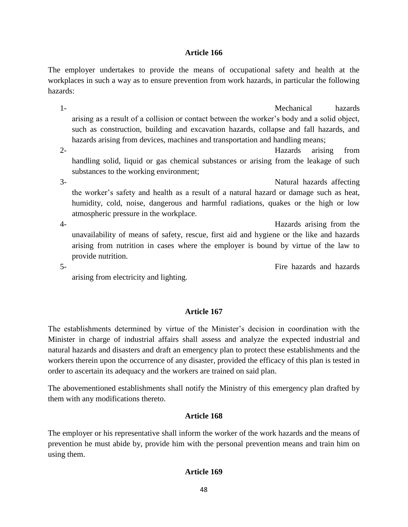The employer undertakes to provide the means of occupational safety and health at the workplaces in such a way as to ensure prevention from work hazards, in particular the following hazards:

1- Mechanical hazards arising as a result of a collision or contact between the worker's body and a solid object, such as construction, building and excavation hazards, collapse and fall hazards, and hazards arising from devices, machines and transportation and handling means;

2- Hazards arising from handling solid, liquid or gas chemical substances or arising from the leakage of such substances to the working environment;

3- Natural hazards affecting the worker's safety and health as a result of a natural hazard or damage such as heat, humidity, cold, noise, dangerous and harmful radiations, quakes or the high or low atmospheric pressure in the workplace.

4- Hazards arising from the unavailability of means of safety, rescue, first aid and hygiene or the like and hazards arising from nutrition in cases where the employer is bound by virtue of the law to provide nutrition.

5- Fire hazards and hazards

arising from electricity and lighting.

# **Article 167**

The establishments determined by virtue of the Minister's decision in coordination with the Minister in charge of industrial affairs shall assess and analyze the expected industrial and natural hazards and disasters and draft an emergency plan to protect these establishments and the workers therein upon the occurrence of any disaster, provided the efficacy of this plan is tested in order to ascertain its adequacy and the workers are trained on said plan.

The abovementioned establishments shall notify the Ministry of this emergency plan drafted by them with any modifications thereto.

### **Article 168**

The employer or his representative shall inform the worker of the work hazards and the means of prevention he must abide by, provide him with the personal prevention means and train him on using them.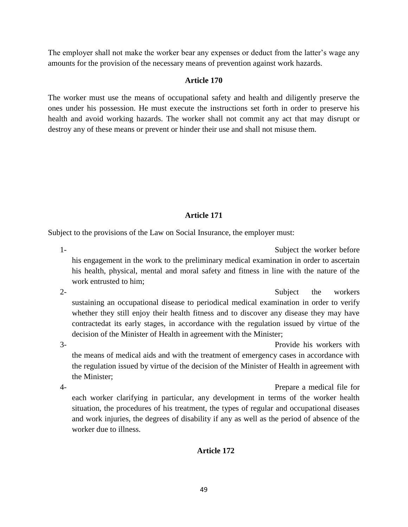The employer shall not make the worker bear any expenses or deduct from the latter's wage any amounts for the provision of the necessary means of prevention against work hazards.

# **Article 170**

The worker must use the means of occupational safety and health and diligently preserve the ones under his possession. He must execute the instructions set forth in order to preserve his health and avoid working hazards. The worker shall not commit any act that may disrupt or destroy any of these means or prevent or hinder their use and shall not misuse them.

# **Article 171**

Subject to the provisions of the Law on Social Insurance, the employer must:

1- Subject the worker before his engagement in the work to the preliminary medical examination in order to ascertain his health, physical, mental and moral safety and fitness in line with the nature of the work entrusted to him;

2- Subject the workers sustaining an occupational disease to periodical medical examination in order to verify whether they still enjoy their health fitness and to discover any disease they may have contractedat its early stages, in accordance with the regulation issued by virtue of the decision of the Minister of Health in agreement with the Minister;

3- Provide his workers with the means of medical aids and with the treatment of emergency cases in accordance with the regulation issued by virtue of the decision of the Minister of Health in agreement with the Minister;

4- Prepare a medical file for each worker clarifying in particular, any development in terms of the worker health situation, the procedures of his treatment, the types of regular and occupational diseases and work injuries, the degrees of disability if any as well as the period of absence of the worker due to illness.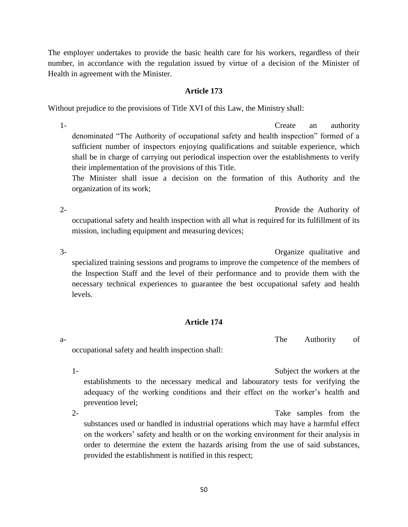The employer undertakes to provide the basic health care for his workers, regardless of their number, in accordance with the regulation issued by virtue of a decision of the Minister of Health in agreement with the Minister.

### **Article 173**

Without prejudice to the provisions of Title XVI of this Law, the Ministry shall:

1- Create an authority denominated "The Authority of occupational safety and health inspection" formed of a sufficient number of inspectors enjoying qualifications and suitable experience, which shall be in charge of carrying out periodical inspection over the establishments to verify their implementation of the provisions of this Title.

The Minister shall issue a decision on the formation of this Authority and the organization of its work;

2- Provide the Authority of occupational safety and health inspection with all what is required for its fulfillment of its mission, including equipment and measuring devices;

3- Organize qualitative and specialized training sessions and programs to improve the competence of the members of the Inspection Staff and the level of their performance and to provide them with the necessary technical experiences to guarantee the best occupational safety and health levels.

# **Article 174**

a- The Authority of

occupational safety and health inspection shall:

1- Subject the workers at the establishments to the necessary medical and labouratory tests for verifying the adequacy of the working conditions and their effect on the worker's health and prevention level;

2- Take samples from the substances used or handled in industrial operations which may have a harmful effect on the workers' safety and health or on the working environment for their analysis in order to determine the extent the hazards arising from the use of said substances, provided the establishment is notified in this respect;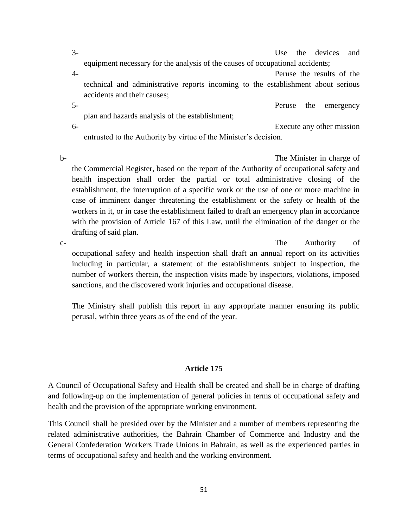3- Use the devices and equipment necessary for the analysis of the causes of occupational accidents; 4- Peruse the results of the technical and administrative reports incoming to the establishment about serious accidents and their causes; 5- Peruse the emergency plan and hazards analysis of the establishment; 6- Execute any other mission entrusted to the Authority by virtue of the Minister's decision.

b- The Minister in charge of the Commercial Register, based on the report of the Authority of occupational safety and health inspection shall order the partial or total administrative closing of the establishment, the interruption of a specific work or the use of one or more machine in case of imminent danger threatening the establishment or the safety or health of the workers in it, or in case the establishment failed to draft an emergency plan in accordance with the provision of Article 167 of this Law, until the elimination of the danger or the drafting of said plan.

c- The Authority of occupational safety and health inspection shall draft an annual report on its activities including in particular, a statement of the establishments subject to inspection, the number of workers therein, the inspection visits made by inspectors, violations, imposed sanctions, and the discovered work injuries and occupational disease.

The Ministry shall publish this report in any appropriate manner ensuring its public perusal, within three years as of the end of the year.

# **Article 175**

A Council of Occupational Safety and Health shall be created and shall be in charge of drafting and following-up on the implementation of general policies in terms of occupational safety and health and the provision of the appropriate working environment.

This Council shall be presided over by the Minister and a number of members representing the related administrative authorities, the Bahrain Chamber of Commerce and Industry and the General Confederation Workers Trade Unions in Bahrain, as well as the experienced parties in terms of occupational safety and health and the working environment.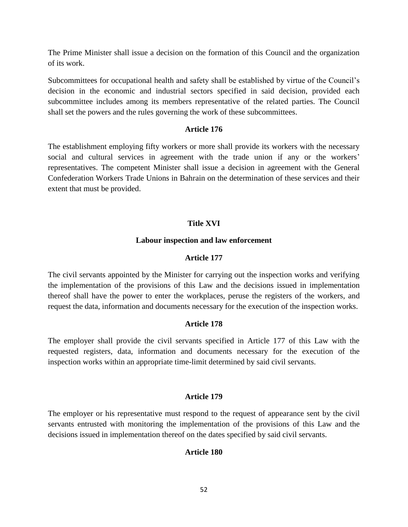The Prime Minister shall issue a decision on the formation of this Council and the organization of its work.

Subcommittees for occupational health and safety shall be established by virtue of the Council's decision in the economic and industrial sectors specified in said decision, provided each subcommittee includes among its members representative of the related parties. The Council shall set the powers and the rules governing the work of these subcommittees.

### **Article 176**

The establishment employing fifty workers or more shall provide its workers with the necessary social and cultural services in agreement with the trade union if any or the workers' representatives. The competent Minister shall issue a decision in agreement with the General Confederation Workers Trade Unions in Bahrain on the determination of these services and their extent that must be provided.

### **Title XVI**

#### **Labour inspection and law enforcement**

#### **Article 177**

The civil servants appointed by the Minister for carrying out the inspection works and verifying the implementation of the provisions of this Law and the decisions issued in implementation thereof shall have the power to enter the workplaces, peruse the registers of the workers, and request the data, information and documents necessary for the execution of the inspection works.

### **Article 178**

The employer shall provide the civil servants specified in Article 177 of this Law with the requested registers, data, information and documents necessary for the execution of the inspection works within an appropriate time-limit determined by said civil servants.

### **Article 179**

The employer or his representative must respond to the request of appearance sent by the civil servants entrusted with monitoring the implementation of the provisions of this Law and the decisions issued in implementation thereof on the dates specified by said civil servants.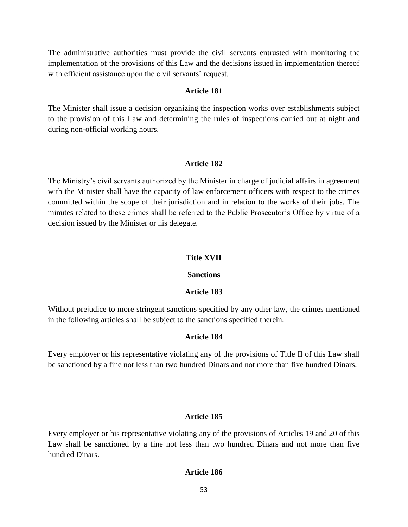The administrative authorities must provide the civil servants entrusted with monitoring the implementation of the provisions of this Law and the decisions issued in implementation thereof with efficient assistance upon the civil servants' request.

### **Article 181**

The Minister shall issue a decision organizing the inspection works over establishments subject to the provision of this Law and determining the rules of inspections carried out at night and during non-official working hours.

### **Article 182**

The Ministry's civil servants authorized by the Minister in charge of judicial affairs in agreement with the Minister shall have the capacity of law enforcement officers with respect to the crimes committed within the scope of their jurisdiction and in relation to the works of their jobs. The minutes related to these crimes shall be referred to the Public Prosecutor's Office by virtue of a decision issued by the Minister or his delegate.

### **Title XVII**

### **Sanctions**

### **Article 183**

Without prejudice to more stringent sanctions specified by any other law, the crimes mentioned in the following articles shall be subject to the sanctions specified therein.

### **Article 184**

Every employer or his representative violating any of the provisions of Title II of this Law shall be sanctioned by a fine not less than two hundred Dinars and not more than five hundred Dinars.

### **Article 185**

Every employer or his representative violating any of the provisions of Articles 19 and 20 of this Law shall be sanctioned by a fine not less than two hundred Dinars and not more than five hundred Dinars.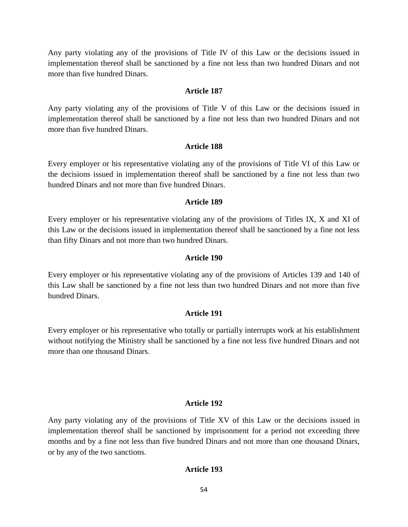Any party violating any of the provisions of Title IV of this Law or the decisions issued in implementation thereof shall be sanctioned by a fine not less than two hundred Dinars and not more than five hundred Dinars.

#### **Article 187**

Any party violating any of the provisions of Title V of this Law or the decisions issued in implementation thereof shall be sanctioned by a fine not less than two hundred Dinars and not more than five hundred Dinars.

### **Article 188**

Every employer or his representative violating any of the provisions of Title VI of this Law or the decisions issued in implementation thereof shall be sanctioned by a fine not less than two hundred Dinars and not more than five hundred Dinars.

#### **Article 189**

Every employer or his representative violating any of the provisions of Titles IX, X and XI of this Law or the decisions issued in implementation thereof shall be sanctioned by a fine not less than fifty Dinars and not more than two hundred Dinars.

#### **Article 190**

Every employer or his representative violating any of the provisions of Articles 139 and 140 of this Law shall be sanctioned by a fine not less than two hundred Dinars and not more than five hundred Dinars.

#### **Article 191**

Every employer or his representative who totally or partially interrupts work at his establishment without notifying the Ministry shall be sanctioned by a fine not less five hundred Dinars and not more than one thousand Dinars.

#### **Article 192**

Any party violating any of the provisions of Title XV of this Law or the decisions issued in implementation thereof shall be sanctioned by imprisonment for a period not exceeding three months and by a fine not less than five hundred Dinars and not more than one thousand Dinars, or by any of the two sanctions.